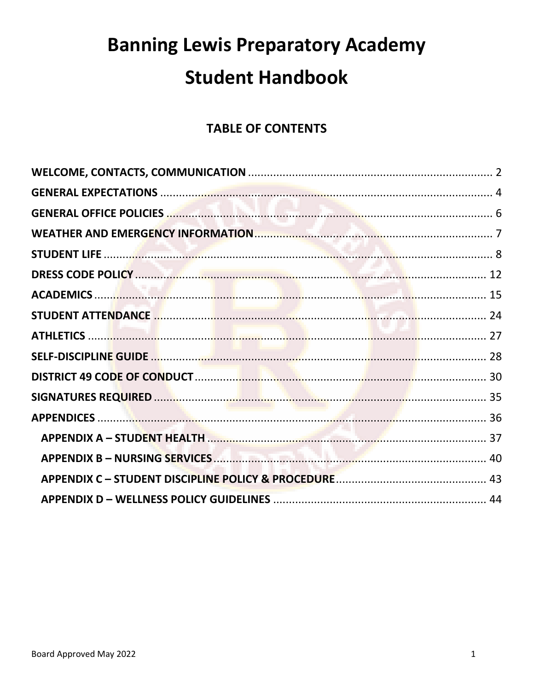# **Banning Lewis Preparatory Academy Student Handbook**

# **TABLE OF CONTENTS**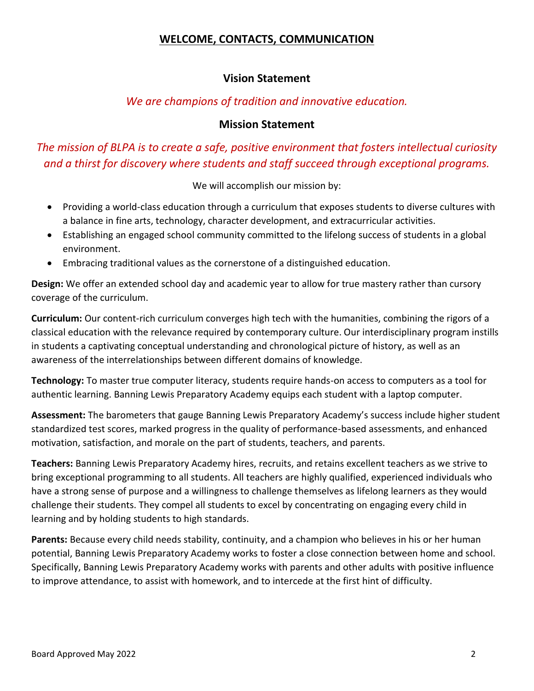# **WELCOME, CONTACTS, COMMUNICATION**

# **Vision Statement**

# *We are champions of tradition and innovative education.*

#### **Mission Statement**

# <span id="page-1-0"></span>*The mission of BLPA is to create a safe, positive environment that fosters intellectual curiosity and a thirst for discovery where students and staff succeed through exceptional programs.*

We will accomplish our mission by:

- Providing a world-class education through a curriculum that exposes students to diverse cultures with a balance in fine arts, technology, character development, and extracurricular activities.
- Establishing an engaged school community committed to the lifelong success of students in a global environment.
- Embracing traditional values as the cornerstone of a distinguished education.

**Design:** We offer an extended school day and academic year to allow for true mastery rather than cursory coverage of the curriculum.

**Curriculum:** Our content-rich curriculum converges high tech with the humanities, combining the rigors of a classical education with the relevance required by contemporary culture. Our interdisciplinary program instills in students a captivating conceptual understanding and chronological picture of history, as well as an awareness of the interrelationships between different domains of knowledge.

**Technology:** To master true computer literacy, students require hands-on access to computers as a tool for authentic learning. Banning Lewis Preparatory Academy equips each student with a laptop computer.

**Assessment:** The barometers that gauge Banning Lewis Preparatory Academy's success include higher student standardized test scores, marked progress in the quality of performance-based assessments, and enhanced motivation, satisfaction, and morale on the part of students, teachers, and parents.

**Teachers:** Banning Lewis Preparatory Academy hires, recruits, and retains excellent teachers as we strive to bring exceptional programming to all students. All teachers are highly qualified, experienced individuals who have a strong sense of purpose and a willingness to challenge themselves as lifelong learners as they would challenge their students. They compel all students to excel by concentrating on engaging every child in learning and by holding students to high standards.

**Parents:** Because every child needs stability, continuity, and a champion who believes in his or her human potential, Banning Lewis Preparatory Academy works to foster a close connection between home and school. Specifically, Banning Lewis Preparatory Academy works with parents and other adults with positive influence to improve attendance, to assist with homework, and to intercede at the first hint of difficulty.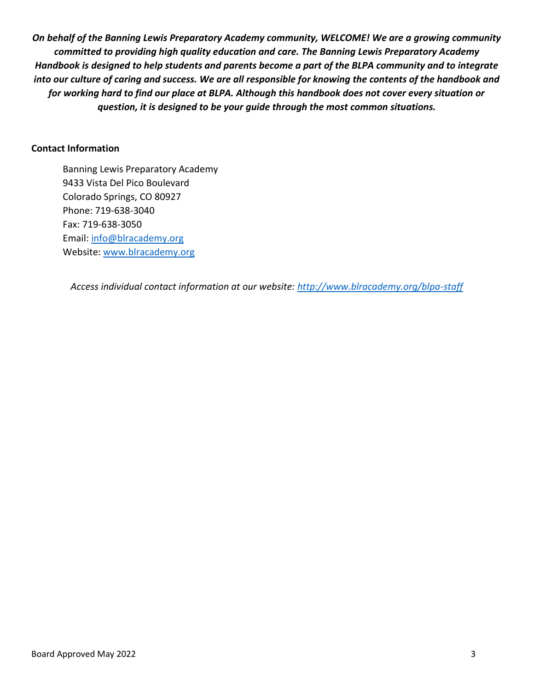*On behalf of the Banning Lewis Preparatory Academy community, WELCOME! We are a growing community committed to providing high quality education and care. The Banning Lewis Preparatory Academy Handbook is designed to help students and parents become a part of the BLPA community and to integrate into our culture of caring and success. We are all responsible for knowing the contents of the handbook and for working hard to find our place at BLPA. Although this handbook does not cover every situation or question, it is designed to be your guide through the most common situations.*

#### **Contact Information**

Banning Lewis Preparatory Academy 9433 Vista Del Pico Boulevard Colorado Springs, CO 80927 Phone: 719-638-3040 Fax: 719-638-3050 Email: [info@blracademy.org](mailto:info@blracademy.org) Website: [www.blracademy.org](http://www.blracademy.org/)

*Access individual contact information at our website:<http://www.blracademy.org/blpa-staff>*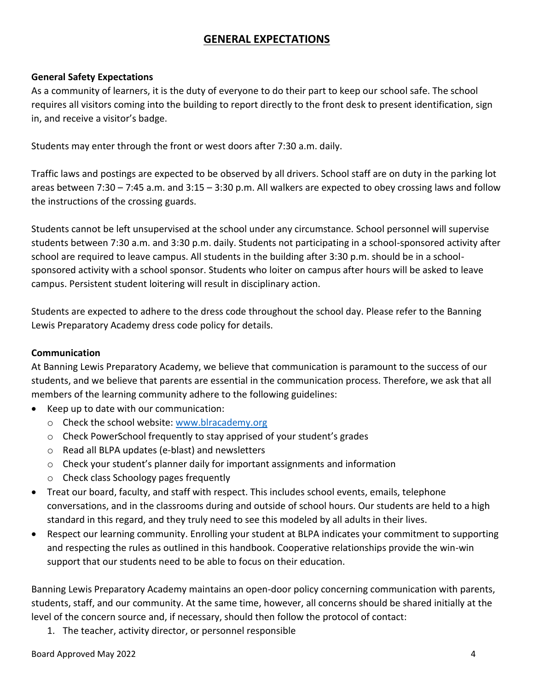# **GENERAL EXPECTATIONS**

## <span id="page-3-0"></span>**General Safety Expectations**

As a community of learners, it is the duty of everyone to do their part to keep our school safe. The school requires all visitors coming into the building to report directly to the front desk to present identification, sign in, and receive a visitor's badge.

Students may enter through the front or west doors after 7:30 a.m. daily.

Traffic laws and postings are expected to be observed by all drivers. School staff are on duty in the parking lot areas between 7:30 – 7:45 a.m. and 3:15 – 3:30 p.m. All walkers are expected to obey crossing laws and follow the instructions of the crossing guards.

Students cannot be left unsupervised at the school under any circumstance. School personnel will supervise students between 7:30 a.m. and 3:30 p.m. daily. Students not participating in a school-sponsored activity after school are required to leave campus. All students in the building after 3:30 p.m. should be in a schoolsponsored activity with a school sponsor. Students who loiter on campus after hours will be asked to leave campus. Persistent student loitering will result in disciplinary action.

Students are expected to adhere to the dress code throughout the school day. Please refer to the Banning Lewis Preparatory Academy dress code policy for details.

# **Communication**

At Banning Lewis Preparatory Academy, we believe that communication is paramount to the success of our students, and we believe that parents are essential in the communication process. Therefore, we ask that all members of the learning community adhere to the following guidelines:

- Keep up to date with our communication:
	- o Check the school website: [www.blracademy.org](http://www.blracademy.org/)
	- o Check PowerSchool frequently to stay apprised of your student's grades
	- o Read all BLPA updates (e-blast) and newsletters
	- $\circ$  Check your student's planner daily for important assignments and information
	- o Check class Schoology pages frequently
- Treat our board, faculty, and staff with respect. This includes school events, emails, telephone conversations, and in the classrooms during and outside of school hours. Our students are held to a high standard in this regard, and they truly need to see this modeled by all adults in their lives.
- Respect our learning community. Enrolling your student at BLPA indicates your commitment to supporting and respecting the rules as outlined in this handbook. Cooperative relationships provide the win-win support that our students need to be able to focus on their education.

Banning Lewis Preparatory Academy maintains an open-door policy concerning communication with parents, students, staff, and our community. At the same time, however, all concerns should be shared initially at the level of the concern source and, if necessary, should then follow the protocol of contact:

1. The teacher, activity director, or personnel responsible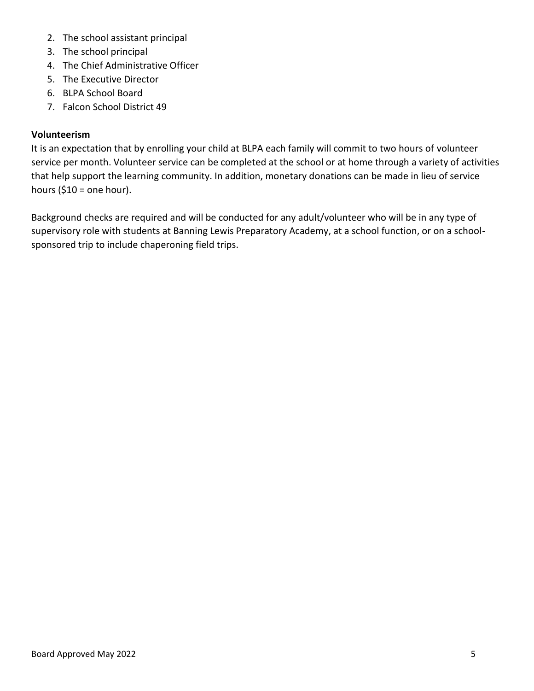- 2. The school assistant principal
- 3. The school principal
- 4. The Chief Administrative Officer
- 5. The Executive Director
- 6. BLPA School Board
- 7. Falcon School District 49

# **Volunteerism**

It is an expectation that by enrolling your child at BLPA each family will commit to two hours of volunteer service per month. Volunteer service can be completed at the school or at home through a variety of activities that help support the learning community. In addition, monetary donations can be made in lieu of service hours ( $$10 =$  one hour).

Background checks are required and will be conducted for any adult/volunteer who will be in any type of supervisory role with students at Banning Lewis Preparatory Academy, at a school function, or on a schoolsponsored trip to include chaperoning field trips.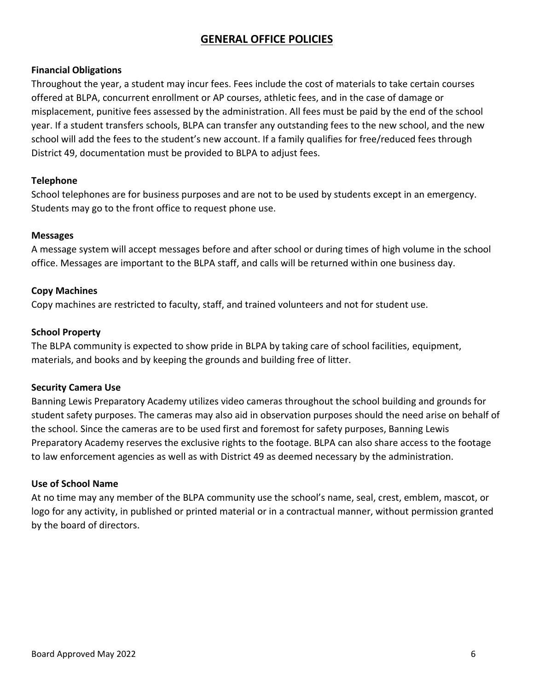# **GENERAL OFFICE POLICIES**

## <span id="page-5-0"></span>**Financial Obligations**

Throughout the year, a student may incur fees. Fees include the cost of materials to take certain courses offered at BLPA, concurrent enrollment or AP courses, athletic fees, and in the case of damage or misplacement, punitive fees assessed by the administration. All fees must be paid by the end of the school year. If a student transfers schools, BLPA can transfer any outstanding fees to the new school, and the new school will add the fees to the student's new account. If a family qualifies for free/reduced fees through District 49, documentation must be provided to BLPA to adjust fees.

#### **Telephone**

School telephones are for business purposes and are not to be used by students except in an emergency. Students may go to the front office to request phone use.

#### **Messages**

A message system will accept messages before and after school or during times of high volume in the school office. Messages are important to the BLPA staff, and calls will be returned within one business day.

#### **Copy Machines**

Copy machines are restricted to faculty, staff, and trained volunteers and not for student use.

#### **School Property**

The BLPA community is expected to show pride in BLPA by taking care of school facilities, equipment, materials, and books and by keeping the grounds and building free of litter.

#### **Security Camera Use**

Banning Lewis Preparatory Academy utilizes video cameras throughout the school building and grounds for student safety purposes. The cameras may also aid in observation purposes should the need arise on behalf of the school. Since the cameras are to be used first and foremost for safety purposes, Banning Lewis Preparatory Academy reserves the exclusive rights to the footage. BLPA can also share access to the footage to law enforcement agencies as well as with District 49 as deemed necessary by the administration.

#### **Use of School Name**

At no time may any member of the BLPA community use the school's name, seal, crest, emblem, mascot, or logo for any activity, in published or printed material or in a contractual manner, without permission granted by the board of directors.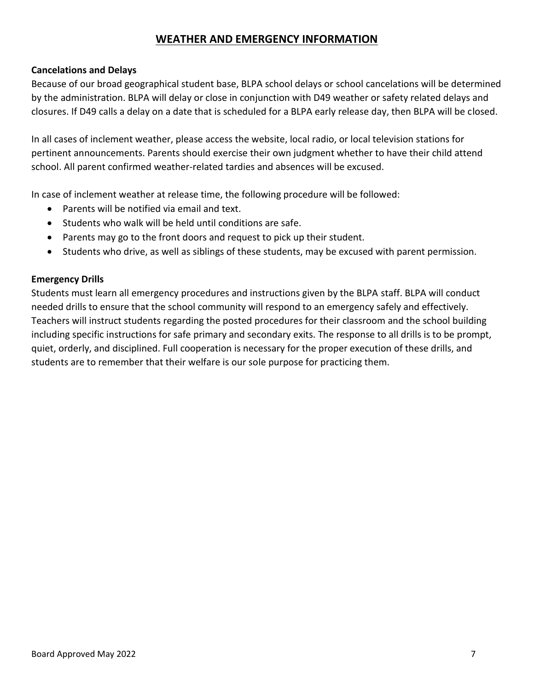# **WEATHER AND EMERGENCY INFORMATION**

## <span id="page-6-0"></span>**Cancelations and Delays**

Because of our broad geographical student base, BLPA school delays or school cancelations will be determined by the administration. BLPA will delay or close in conjunction with D49 weather or safety related delays and closures. If D49 calls a delay on a date that is scheduled for a BLPA early release day, then BLPA will be closed.

In all cases of inclement weather, please access the website, local radio, or local television stations for pertinent announcements. Parents should exercise their own judgment whether to have their child attend school. All parent confirmed weather-related tardies and absences will be excused.

In case of inclement weather at release time, the following procedure will be followed:

- Parents will be notified via email and text.
- Students who walk will be held until conditions are safe.
- Parents may go to the front doors and request to pick up their student.
- Students who drive, as well as siblings of these students, may be excused with parent permission.

#### **Emergency Drills**

Students must learn all emergency procedures and instructions given by the BLPA staff. BLPA will conduct needed drills to ensure that the school community will respond to an emergency safely and effectively. Teachers will instruct students regarding the posted procedures for their classroom and the school building including specific instructions for safe primary and secondary exits. The response to all drills is to be prompt, quiet, orderly, and disciplined. Full cooperation is necessary for the proper execution of these drills, and students are to remember that their welfare is our sole purpose for practicing them.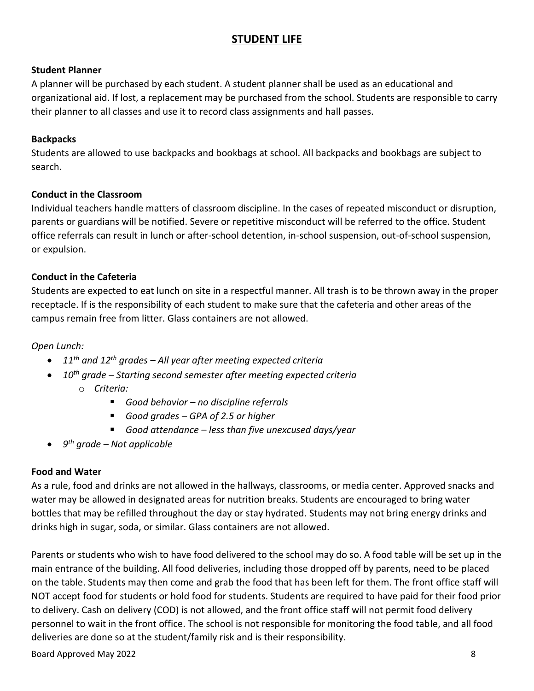# **STUDENT LIFE**

# <span id="page-7-0"></span>**Student Planner**

A planner will be purchased by each student. A student planner shall be used as an educational and organizational aid. If lost, a replacement may be purchased from the school. Students are responsible to carry their planner to all classes and use it to record class assignments and hall passes.

# **Backpacks**

Students are allowed to use backpacks and bookbags at school. All backpacks and bookbags are subject to search.

# **Conduct in the Classroom**

Individual teachers handle matters of classroom discipline. In the cases of repeated misconduct or disruption, parents or guardians will be notified. Severe or repetitive misconduct will be referred to the office. Student office referrals can result in lunch or after-school detention, in-school suspension, out-of-school suspension, or expulsion.

# **Conduct in the Cafeteria**

Students are expected to eat lunch on site in a respectful manner. All trash is to be thrown away in the proper receptacle. If is the responsibility of each student to make sure that the cafeteria and other areas of the campus remain free from litter. Glass containers are not allowed.

*Open Lunch:*

- *11th and 12th grades – All year after meeting expected criteria*
- *10th grade – Starting second semester after meeting expected criteria* o *Criteria:*
	- *Good behavior no discipline referrals*
	- *Good grades GPA of 2.5 or higher*
	- *Good attendance less than five unexcused days/year*
- *9 th grade – Not applicable*

# **Food and Water**

As a rule, food and drinks are not allowed in the hallways, classrooms, or media center. Approved snacks and water may be allowed in designated areas for nutrition breaks. Students are encouraged to bring water bottles that may be refilled throughout the day or stay hydrated. Students may not bring energy drinks and drinks high in sugar, soda, or similar. Glass containers are not allowed.

Parents or students who wish to have food delivered to the school may do so. A food table will be set up in the main entrance of the building. All food deliveries, including those dropped off by parents, need to be placed on the table. Students may then come and grab the food that has been left for them. The front office staff will NOT accept food for students or hold food for students. Students are required to have paid for their food prior to delivery. Cash on delivery (COD) is not allowed, and the front office staff will not permit food delivery personnel to wait in the front office. The school is not responsible for monitoring the food table, and all food deliveries are done so at the student/family risk and is their responsibility.

Board Approved May 2022 8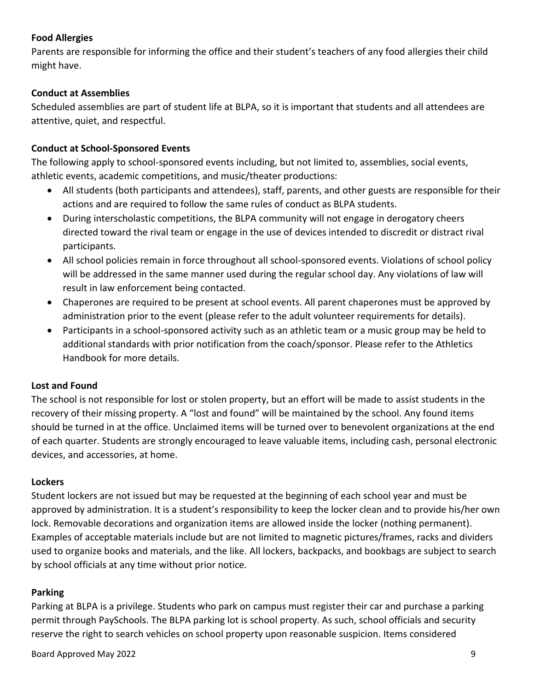# **Food Allergies**

Parents are responsible for informing the office and their student's teachers of any food allergies their child might have.

# **Conduct at Assemblies**

Scheduled assemblies are part of student life at BLPA, so it is important that students and all attendees are attentive, quiet, and respectful.

# **Conduct at School-Sponsored Events**

The following apply to school-sponsored events including, but not limited to, assemblies, social events, athletic events, academic competitions, and music/theater productions:

- All students (both participants and attendees), staff, parents, and other guests are responsible for their actions and are required to follow the same rules of conduct as BLPA students.
- During interscholastic competitions, the BLPA community will not engage in derogatory cheers directed toward the rival team or engage in the use of devices intended to discredit or distract rival participants.
- All school policies remain in force throughout all school-sponsored events. Violations of school policy will be addressed in the same manner used during the regular school day. Any violations of law will result in law enforcement being contacted.
- Chaperones are required to be present at school events. All parent chaperones must be approved by administration prior to the event (please refer to the adult volunteer requirements for details).
- Participants in a school-sponsored activity such as an athletic team or a music group may be held to additional standards with prior notification from the coach/sponsor. Please refer to the Athletics Handbook for more details.

# **Lost and Found**

The school is not responsible for lost or stolen property, but an effort will be made to assist students in the recovery of their missing property. A "lost and found" will be maintained by the school. Any found items should be turned in at the office. Unclaimed items will be turned over to benevolent organizations at the end of each quarter. Students are strongly encouraged to leave valuable items, including cash, personal electronic devices, and accessories, at home.

# **Lockers**

Student lockers are not issued but may be requested at the beginning of each school year and must be approved by administration. It is a student's responsibility to keep the locker clean and to provide his/her own lock. Removable decorations and organization items are allowed inside the locker (nothing permanent). Examples of acceptable materials include but are not limited to magnetic pictures/frames, racks and dividers used to organize books and materials, and the like. All lockers, backpacks, and bookbags are subject to search by school officials at any time without prior notice.

# **Parking**

Parking at BLPA is a privilege. Students who park on campus must register their car and purchase a parking permit through PaySchools. The BLPA parking lot is school property. As such, school officials and security reserve the right to search vehicles on school property upon reasonable suspicion. Items considered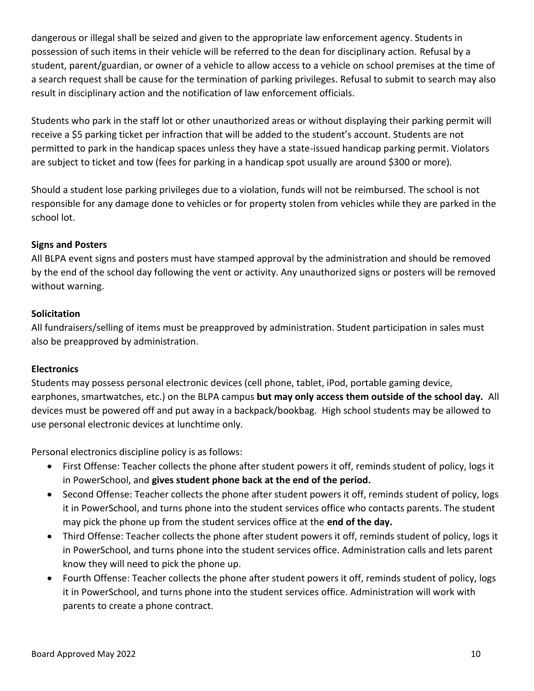dangerous or illegal shall be seized and given to the appropriate law enforcement agency. Students in possession of such items in their vehicle will be referred to the dean for disciplinary action. Refusal by a student, parent/guardian, or owner of a vehicle to allow access to a vehicle on school premises at the time of a search request shall be cause for the termination of parking privileges. Refusal to submit to search may also result in disciplinary action and the notification of law enforcement officials.

Students who park in the staff lot or other unauthorized areas or without displaying their parking permit will receive a \$5 parking ticket per infraction that will be added to the student's account. Students are not permitted to park in the handicap spaces unless they have a state-issued handicap parking permit. Violators are subject to ticket and tow (fees for parking in a handicap spot usually are around \$300 or more).

Should a student lose parking privileges due to a violation, funds will not be reimbursed. The school is not responsible for any damage done to vehicles or for property stolen from vehicles while they are parked in the school lot.

## **Signs and Posters**

All BLPA event signs and posters must have stamped approval by the administration and should be removed by the end of the school day following the vent or activity. Any unauthorized signs or posters will be removed without warning.

## **Solicitation**

All fundraisers/selling of items must be preapproved by administration. Student participation in sales must also be preapproved by administration.

# **Electronics**

Students may possess personal electronic devices (cell phone, tablet, iPod, portable gaming device, earphones, smartwatches, etc.) on the BLPA campus **but may only access them outside of the school day.** All devices must be powered off and put away in a backpack/bookbag. High school students may be allowed to use personal electronic devices at lunchtime only.

Personal electronics discipline policy is as follows:

- First Offense: Teacher collects the phone after student powers it off, reminds student of policy, logs it in PowerSchool, and **gives student phone back at the end of the period.**
- Second Offense: Teacher collects the phone after student powers it off, reminds student of policy, logs it in PowerSchool, and turns phone into the student services office who contacts parents. The student may pick the phone up from the student services office at the **end of the day.**
- Third Offense: Teacher collects the phone after student powers it off, reminds student of policy, logs it in PowerSchool, and turns phone into the student services office. Administration calls and lets parent know they will need to pick the phone up.
- Fourth Offense: Teacher collects the phone after student powers it off, reminds student of policy, logs it in PowerSchool, and turns phone into the student services office. Administration will work with parents to create a phone contract.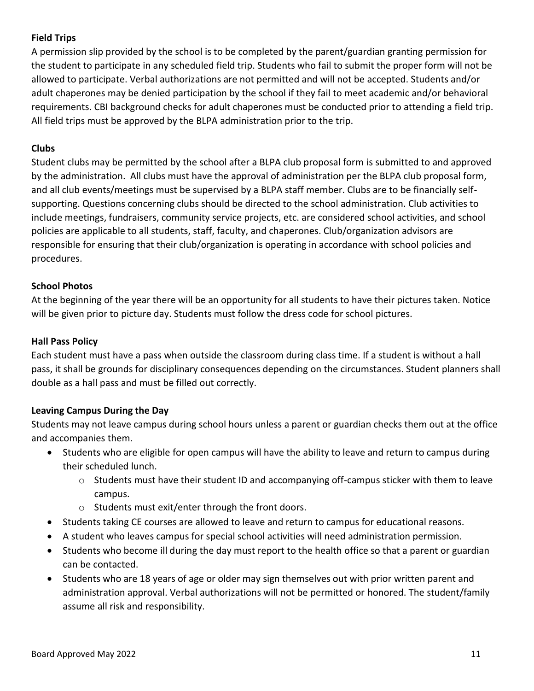# **Field Trips**

A permission slip provided by the school is to be completed by the parent/guardian granting permission for the student to participate in any scheduled field trip. Students who fail to submit the proper form will not be allowed to participate. Verbal authorizations are not permitted and will not be accepted. Students and/or adult chaperones may be denied participation by the school if they fail to meet academic and/or behavioral requirements. CBI background checks for adult chaperones must be conducted prior to attending a field trip. All field trips must be approved by the BLPA administration prior to the trip.

#### **Clubs**

Student clubs may be permitted by the school after a BLPA club proposal form is submitted to and approved by the administration. All clubs must have the approval of administration per the BLPA club proposal form, and all club events/meetings must be supervised by a BLPA staff member. Clubs are to be financially selfsupporting. Questions concerning clubs should be directed to the school administration. Club activities to include meetings, fundraisers, community service projects, etc. are considered school activities, and school policies are applicable to all students, staff, faculty, and chaperones. Club/organization advisors are responsible for ensuring that their club/organization is operating in accordance with school policies and procedures.

## **School Photos**

At the beginning of the year there will be an opportunity for all students to have their pictures taken. Notice will be given prior to picture day. Students must follow the dress code for school pictures.

#### **Hall Pass Policy**

Each student must have a pass when outside the classroom during class time. If a student is without a hall pass, it shall be grounds for disciplinary consequences depending on the circumstances. Student planners shall double as a hall pass and must be filled out correctly.

# **Leaving Campus During the Day**

Students may not leave campus during school hours unless a parent or guardian checks them out at the office and accompanies them.

- Students who are eligible for open campus will have the ability to leave and return to campus during their scheduled lunch.
	- $\circ$  Students must have their student ID and accompanying off-campus sticker with them to leave campus.
	- o Students must exit/enter through the front doors.
- Students taking CE courses are allowed to leave and return to campus for educational reasons.
- A student who leaves campus for special school activities will need administration permission.
- Students who become ill during the day must report to the health office so that a parent or guardian can be contacted.
- Students who are 18 years of age or older may sign themselves out with prior written parent and administration approval. Verbal authorizations will not be permitted or honored. The student/family assume all risk and responsibility.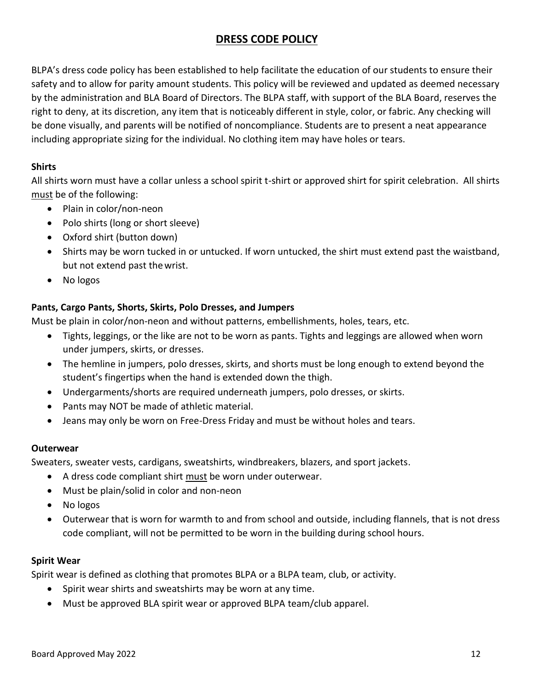# **DRESS CODE POLICY**

<span id="page-11-0"></span>BLPA's dress code policy has been established to help facilitate the education of our students to ensure their safety and to allow for parity amount students. This policy will be reviewed and updated as deemed necessary by the administration and BLA Board of Directors. The BLPA staff, with support of the BLA Board, reserves the right to deny, at its discretion, any item that is noticeably different in style, color, or fabric. Any checking will be done visually, and parents will be notified of noncompliance. Students are to present a neat appearance including appropriate sizing for the individual. No clothing item may have holes or tears.

## **Shirts**

All shirts worn must have a collar unless a school spirit t-shirt or approved shirt for spirit celebration. All shirts must be of the following:

- Plain in color/non-neon
- Polo shirts (long or short sleeve)
- Oxford shirt (button down)
- Shirts may be worn tucked in or untucked. If worn untucked, the shirt must extend past the waistband, but not extend past thewrist.
- No logos

# **Pants, Cargo Pants, Shorts, Skirts, Polo Dresses, and Jumpers**

Must be plain in color/non-neon and without patterns, embellishments, holes, tears, etc.

- Tights, leggings, or the like are not to be worn as pants. Tights and leggings are allowed when worn under jumpers, skirts, or dresses.
- The hemline in jumpers, polo dresses, skirts, and shorts must be long enough to extend beyond the student's fingertips when the hand is extended down the thigh.
- Undergarments/shorts are required underneath jumpers, polo dresses, or skirts.
- Pants may NOT be made of athletic material.
- Jeans may only be worn on Free-Dress Friday and must be without holes and tears.

#### **Outerwear**

Sweaters, sweater vests, cardigans, sweatshirts, windbreakers, blazers, and sport jackets.

- A dress code compliant shirt must be worn under outerwear.
- Must be plain/solid in color and non-neon
- No logos
- Outerwear that is worn for warmth to and from school and outside, including flannels, that is not dress code compliant, will not be permitted to be worn in the building during school hours.

#### **Spirit Wear**

Spirit wear is defined as clothing that promotes BLPA or a BLPA team, club, or activity.

- Spirit wear shirts and sweatshirts may be worn at any time.
- Must be approved BLA spirit wear or approved BLPA team/club apparel.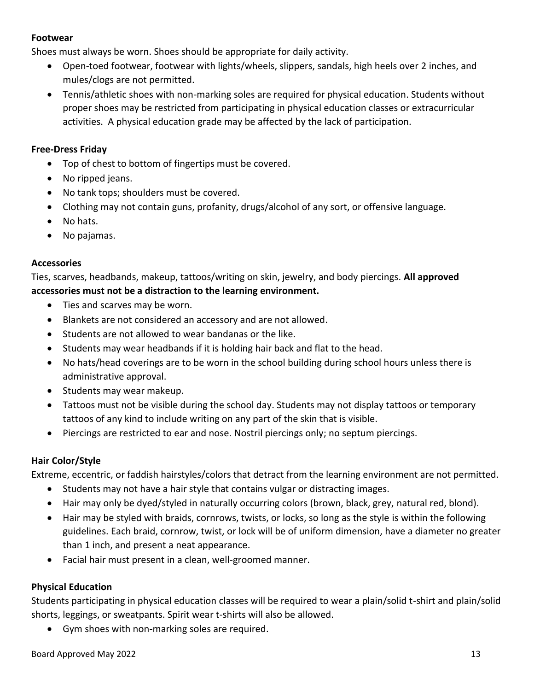#### **Footwear**

Shoes must always be worn. Shoes should be appropriate for daily activity.

- Open-toed footwear, footwear with lights/wheels, slippers, sandals, high heels over 2 inches, and mules/clogs are not permitted.
- Tennis/athletic shoes with non-marking soles are required for physical education. Students without proper shoes may be restricted from participating in physical education classes or extracurricular activities. A physical education grade may be affected by the lack of participation.

## **Free-Dress Friday**

- Top of chest to bottom of fingertips must be covered.
- No ripped jeans.
- No tank tops; shoulders must be covered.
- Clothing may not contain guns, profanity, drugs/alcohol of any sort, or offensive language.
- No hats.
- No pajamas.

## **Accessories**

Ties, scarves, headbands, makeup, tattoos/writing on skin, jewelry, and body piercings. **All approved accessories must not be a distraction to the learning environment.** 

- Ties and scarves may be worn.
- Blankets are not considered an accessory and are not allowed.
- Students are not allowed to wear bandanas or the like.
- Students may wear headbands if it is holding hair back and flat to the head.
- No hats/head coverings are to be worn in the school building during school hours unless there is administrative approval.
- Students may wear makeup.
- Tattoos must not be visible during the school day. Students may not display tattoos or temporary tattoos of any kind to include writing on any part of the skin that is visible.
- Piercings are restricted to ear and nose. Nostril piercings only; no septum piercings.

# **Hair Color/Style**

Extreme, eccentric, or faddish hairstyles/colors that detract from the learning environment are not permitted.

- Students may not have a hair style that contains vulgar or distracting images.
- Hair may only be dyed/styled in naturally occurring colors (brown, black, grey, natural red, blond).
- Hair may be styled with braids, cornrows, twists, or locks, so long as the style is within the following guidelines. Each braid, cornrow, twist, or lock will be of uniform dimension, have a diameter no greater than 1 inch, and present a neat appearance.
- Facial hair must present in a clean, well-groomed manner.

# **Physical Education**

Students participating in physical education classes will be required to wear a plain/solid t-shirt and plain/solid shorts, leggings, or sweatpants. Spirit wear t-shirts will also be allowed.

• Gym shoes with non-marking soles are required.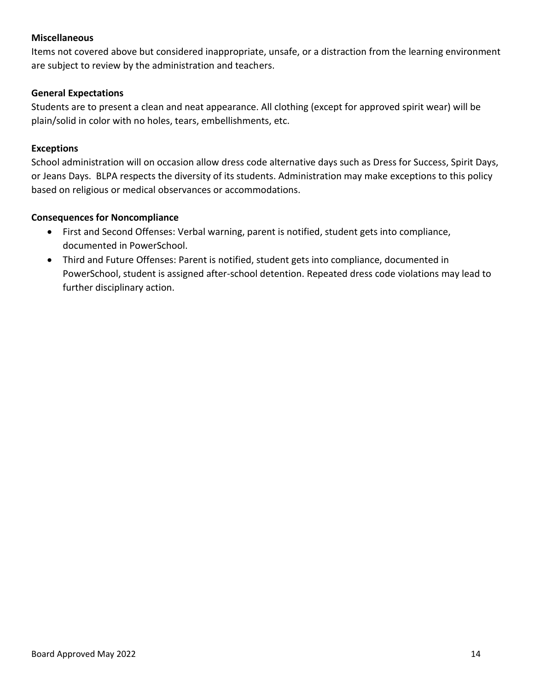#### **Miscellaneous**

Items not covered above but considered inappropriate, unsafe, or a distraction from the learning environment are subject to review by the administration and teachers.

## **General Expectations**

Students are to present a clean and neat appearance. All clothing (except for approved spirit wear) will be plain/solid in color with no holes, tears, embellishments, etc.

#### **Exceptions**

School administration will on occasion allow dress code alternative days such as Dress for Success, Spirit Days, or Jeans Days. BLPA respects the diversity of its students. Administration may make exceptions to this policy based on religious or medical observances or accommodations.

#### **Consequences for Noncompliance**

- First and Second Offenses: Verbal warning, parent is notified, student gets into compliance, documented in PowerSchool.
- Third and Future Offenses: Parent is notified, student gets into compliance, documented in PowerSchool, student is assigned after-school detention. Repeated dress code violations may lead to further disciplinary action.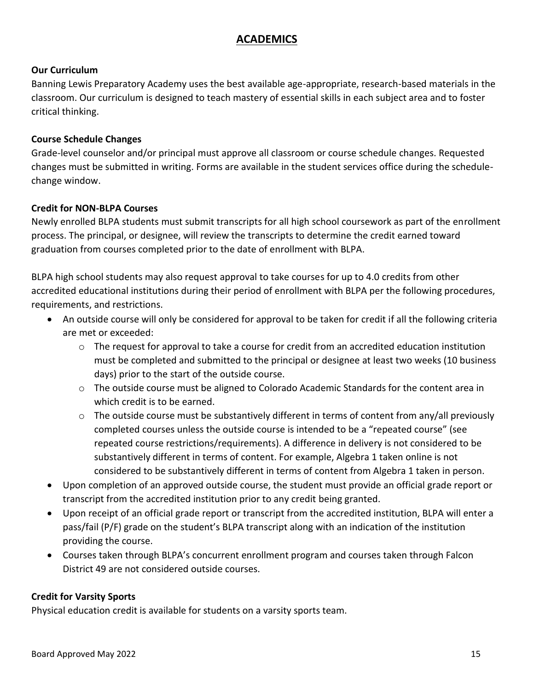# **ACADEMICS**

# <span id="page-14-0"></span>**Our Curriculum**

Banning Lewis Preparatory Academy uses the best available age-appropriate, research-based materials in the classroom. Our curriculum is designed to teach mastery of essential skills in each subject area and to foster critical thinking.

# **Course Schedule Changes**

Grade-level counselor and/or principal must approve all classroom or course schedule changes. Requested changes must be submitted in writing. Forms are available in the student services office during the schedulechange window.

## **Credit for NON-BLPA Courses**

Newly enrolled BLPA students must submit transcripts for all high school coursework as part of the enrollment process. The principal, or designee, will review the transcripts to determine the credit earned toward graduation from courses completed prior to the date of enrollment with BLPA.

BLPA high school students may also request approval to take courses for up to 4.0 credits from other accredited educational institutions during their period of enrollment with BLPA per the following procedures, requirements, and restrictions.

- An outside course will only be considered for approval to be taken for credit if all the following criteria are met or exceeded:
	- $\circ$  The request for approval to take a course for credit from an accredited education institution must be completed and submitted to the principal or designee at least two weeks (10 business days) prior to the start of the outside course.
	- o The outside course must be aligned to Colorado Academic Standards for the content area in which credit is to be earned.
	- o The outside course must be substantively different in terms of content from any/all previously completed courses unless the outside course is intended to be a "repeated course" (see repeated course restrictions/requirements). A difference in delivery is not considered to be substantively different in terms of content. For example, Algebra 1 taken online is not considered to be substantively different in terms of content from Algebra 1 taken in person.
- Upon completion of an approved outside course, the student must provide an official grade report or transcript from the accredited institution prior to any credit being granted.
- Upon receipt of an official grade report or transcript from the accredited institution, BLPA will enter a pass/fail (P/F) grade on the student's BLPA transcript along with an indication of the institution providing the course.
- Courses taken through BLPA's concurrent enrollment program and courses taken through Falcon District 49 are not considered outside courses.

# **Credit for Varsity Sports**

Physical education credit is available for students on a varsity sports team.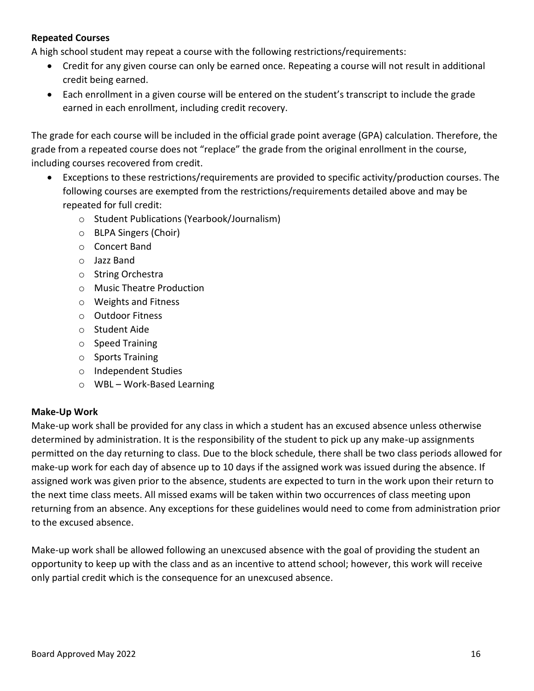# **Repeated Courses**

A high school student may repeat a course with the following restrictions/requirements:

- Credit for any given course can only be earned once. Repeating a course will not result in additional credit being earned.
- Each enrollment in a given course will be entered on the student's transcript to include the grade earned in each enrollment, including credit recovery.

The grade for each course will be included in the official grade point average (GPA) calculation. Therefore, the grade from a repeated course does not "replace" the grade from the original enrollment in the course, including courses recovered from credit.

- Exceptions to these restrictions/requirements are provided to specific activity/production courses. The following courses are exempted from the restrictions/requirements detailed above and may be repeated for full credit:
	- o Student Publications (Yearbook/Journalism)
	- o BLPA Singers (Choir)
	- o Concert Band
	- o Jazz Band
	- o String Orchestra
	- o Music Theatre Production
	- o Weights and Fitness
	- o Outdoor Fitness
	- o Student Aide
	- o Speed Training
	- o Sports Training
	- o Independent Studies
	- o WBL Work-Based Learning

#### **Make-Up Work**

Make-up work shall be provided for any class in which a student has an excused absence unless otherwise determined by administration. It is the responsibility of the student to pick up any make-up assignments permitted on the day returning to class. Due to the block schedule, there shall be two class periods allowed for make-up work for each day of absence up to 10 days if the assigned work was issued during the absence. If assigned work was given prior to the absence, students are expected to turn in the work upon their return to the next time class meets. All missed exams will be taken within two occurrences of class meeting upon returning from an absence. Any exceptions for these guidelines would need to come from administration prior to the excused absence.

Make-up work shall be allowed following an unexcused absence with the goal of providing the student an opportunity to keep up with the class and as an incentive to attend school; however, this work will receive only partial credit which is the consequence for an unexcused absence.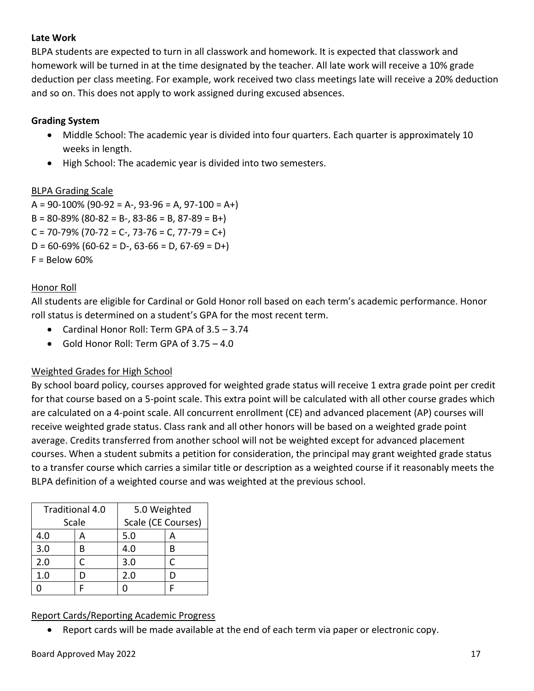## **Late Work**

BLPA students are expected to turn in all classwork and homework. It is expected that classwork and homework will be turned in at the time designated by the teacher. All late work will receive a 10% grade deduction per class meeting. For example, work received two class meetings late will receive a 20% deduction and so on. This does not apply to work assigned during excused absences.

## **Grading System**

- Middle School: The academic year is divided into four quarters. Each quarter is approximately 10 weeks in length.
- High School: The academic year is divided into two semesters.

## BLPA Grading Scale

 $A = 90 - 100\%$  (90-92 = A-, 93-96 = A, 97-100 = A+)  $B = 80 - 89\%$  (80-82 = B-, 83-86 = B, 87-89 = B+)  $C = 70 - 79\%$  (70-72 = C-, 73-76 = C, 77-79 = C+)  $D = 60-69\%$  (60-62 = D-, 63-66 = D, 67-69 = D+)  $F =$  Below 60%

# Honor Roll

All students are eligible for Cardinal or Gold Honor roll based on each term's academic performance. Honor roll status is determined on a student's GPA for the most recent term.

- Cardinal Honor Roll: Term GPA of 3.5 3.74
- Gold Honor Roll: Term GPA of 3.75 4.0

# Weighted Grades for High School

By school board policy, courses approved for weighted grade status will receive 1 extra grade point per credit for that course based on a 5-point scale. This extra point will be calculated with all other course grades which are calculated on a 4-point scale. All concurrent enrollment (CE) and advanced placement (AP) courses will receive weighted grade status. Class rank and all other honors will be based on a weighted grade point average. Credits transferred from another school will not be weighted except for advanced placement courses. When a student submits a petition for consideration, the principal may grant weighted grade status to a transfer course which carries a similar title or description as a weighted course if it reasonably meets the BLPA definition of a weighted course and was weighted at the previous school.

|     | Traditional 4.0 | 5.0 Weighted       |   |
|-----|-----------------|--------------------|---|
|     | Scale           | Scale (CE Courses) |   |
| 4.0 |                 | 5.0                | А |
| 3.0 | в               | 4.0                |   |
| 2.0 | C               | 3.0                |   |
| 1.0 |                 | 2.0                |   |
|     |                 |                    |   |

# Report Cards/Reporting Academic Progress

• Report cards will be made available at the end of each term via paper or electronic copy.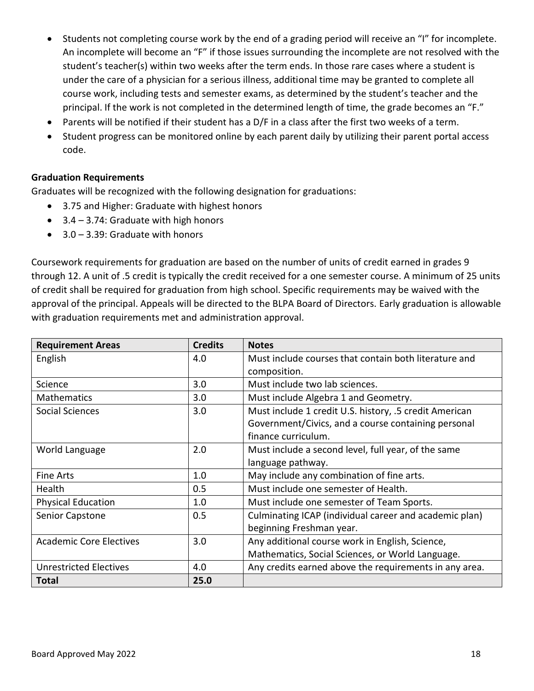- Students not completing course work by the end of a grading period will receive an "I" for incomplete. An incomplete will become an "F" if those issues surrounding the incomplete are not resolved with the student's teacher(s) within two weeks after the term ends. In those rare cases where a student is under the care of a physician for a serious illness, additional time may be granted to complete all course work, including tests and semester exams, as determined by the student's teacher and the principal. If the work is not completed in the determined length of time, the grade becomes an "F."
- Parents will be notified if their student has a D/F in a class after the first two weeks of a term.
- Student progress can be monitored online by each parent daily by utilizing their parent portal access code.

## **Graduation Requirements**

Graduates will be recognized with the following designation for graduations:

- 3.75 and Higher: Graduate with highest honors
- 3.4 3.74: Graduate with high honors
- 3.0 3.39: Graduate with honors

Coursework requirements for graduation are based on the number of units of credit earned in grades 9 through 12. A unit of .5 credit is typically the credit received for a one semester course. A minimum of 25 units of credit shall be required for graduation from high school. Specific requirements may be waived with the approval of the principal. Appeals will be directed to the BLPA Board of Directors. Early graduation is allowable with graduation requirements met and administration approval.

| <b>Requirement Areas</b>       | <b>Credits</b> | <b>Notes</b>                                           |
|--------------------------------|----------------|--------------------------------------------------------|
| English                        | 4.0            | Must include courses that contain both literature and  |
|                                |                | composition.                                           |
| Science                        | 3.0            | Must include two lab sciences.                         |
| <b>Mathematics</b>             | 3.0            | Must include Algebra 1 and Geometry.                   |
| Social Sciences                | 3.0            | Must include 1 credit U.S. history, .5 credit American |
|                                |                | Government/Civics, and a course containing personal    |
|                                |                | finance curriculum.                                    |
| World Language                 | 2.0            | Must include a second level, full year, of the same    |
|                                |                | language pathway.                                      |
| <b>Fine Arts</b>               | 1.0            | May include any combination of fine arts.              |
| Health                         | 0.5            | Must include one semester of Health.                   |
| <b>Physical Education</b>      | 1.0            | Must include one semester of Team Sports.              |
| Senior Capstone                | 0.5            | Culminating ICAP (individual career and academic plan) |
|                                |                | beginning Freshman year.                               |
| <b>Academic Core Electives</b> | 3.0            | Any additional course work in English, Science,        |
|                                |                | Mathematics, Social Sciences, or World Language.       |
| <b>Unrestricted Electives</b>  | 4.0            | Any credits earned above the requirements in any area. |
| Total                          | 25.0           |                                                        |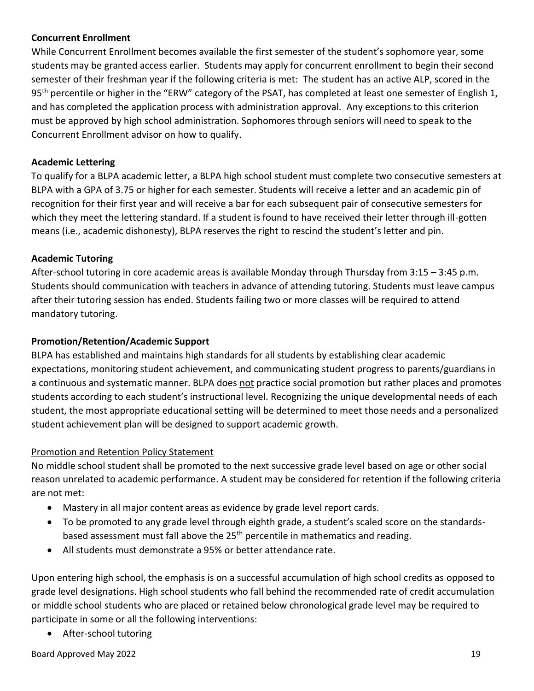## **Concurrent Enrollment**

While Concurrent Enrollment becomes available the first semester of the student's sophomore year, some students may be granted access earlier. Students may apply for concurrent enrollment to begin their second semester of their freshman year if the following criteria is met: The student has an active ALP, scored in the 95<sup>th</sup> percentile or higher in the "ERW" category of the PSAT, has completed at least one semester of English 1, and has completed the application process with administration approval. Any exceptions to this criterion must be approved by high school administration. Sophomores through seniors will need to speak to the Concurrent Enrollment advisor on how to qualify.

## **Academic Lettering**

To qualify for a BLPA academic letter, a BLPA high school student must complete two consecutive semesters at BLPA with a GPA of 3.75 or higher for each semester. Students will receive a letter and an academic pin of recognition for their first year and will receive a bar for each subsequent pair of consecutive semesters for which they meet the lettering standard. If a student is found to have received their letter through ill-gotten means (i.e., academic dishonesty), BLPA reserves the right to rescind the student's letter and pin.

## **Academic Tutoring**

After-school tutoring in core academic areas is available Monday through Thursday from 3:15 – 3:45 p.m. Students should communication with teachers in advance of attending tutoring. Students must leave campus after their tutoring session has ended. Students failing two or more classes will be required to attend mandatory tutoring.

# **Promotion/Retention/Academic Support**

BLPA has established and maintains high standards for all students by establishing clear academic expectations, monitoring student achievement, and communicating student progress to parents/guardians in a continuous and systematic manner. BLPA does not practice social promotion but rather places and promotes students according to each student's instructional level. Recognizing the unique developmental needs of each student, the most appropriate educational setting will be determined to meet those needs and a personalized student achievement plan will be designed to support academic growth.

#### Promotion and Retention Policy Statement

No middle school student shall be promoted to the next successive grade level based on age or other social reason unrelated to academic performance. A student may be considered for retention if the following criteria are not met:

- Mastery in all major content areas as evidence by grade level report cards.
- To be promoted to any grade level through eighth grade, a student's scaled score on the standardsbased assessment must fall above the 25<sup>th</sup> percentile in mathematics and reading.
- All students must demonstrate a 95% or better attendance rate.

Upon entering high school, the emphasis is on a successful accumulation of high school credits as opposed to grade level designations. High school students who fall behind the recommended rate of credit accumulation or middle school students who are placed or retained below chronological grade level may be required to participate in some or all the following interventions:

• After-school tutoring

Board Approved May 2022 19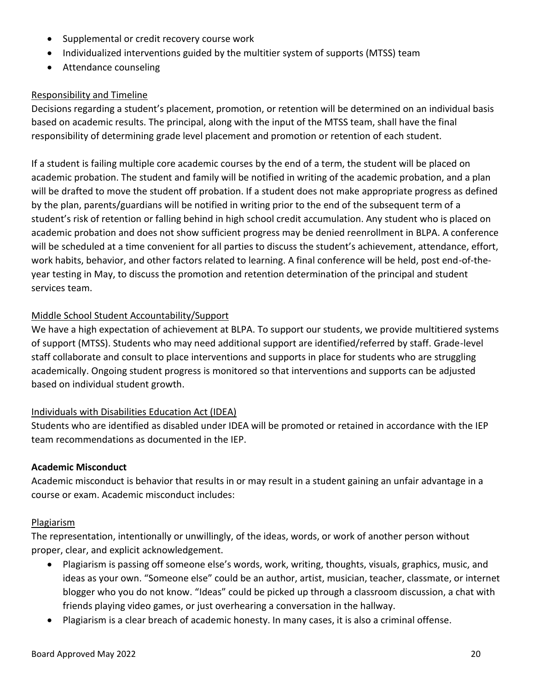- Supplemental or credit recovery course work
- Individualized interventions guided by the multitier system of supports (MTSS) team
- Attendance counseling

## Responsibility and Timeline

Decisions regarding a student's placement, promotion, or retention will be determined on an individual basis based on academic results. The principal, along with the input of the MTSS team, shall have the final responsibility of determining grade level placement and promotion or retention of each student.

If a student is failing multiple core academic courses by the end of a term, the student will be placed on academic probation. The student and family will be notified in writing of the academic probation, and a plan will be drafted to move the student off probation. If a student does not make appropriate progress as defined by the plan, parents/guardians will be notified in writing prior to the end of the subsequent term of a student's risk of retention or falling behind in high school credit accumulation. Any student who is placed on academic probation and does not show sufficient progress may be denied reenrollment in BLPA. A conference will be scheduled at a time convenient for all parties to discuss the student's achievement, attendance, effort, work habits, behavior, and other factors related to learning. A final conference will be held, post end-of-theyear testing in May, to discuss the promotion and retention determination of the principal and student services team.

## Middle School Student Accountability/Support

We have a high expectation of achievement at BLPA. To support our students, we provide multitiered systems of support (MTSS). Students who may need additional support are identified/referred by staff. Grade-level staff collaborate and consult to place interventions and supports in place for students who are struggling academically. Ongoing student progress is monitored so that interventions and supports can be adjusted based on individual student growth.

#### Individuals with Disabilities Education Act (IDEA)

Students who are identified as disabled under IDEA will be promoted or retained in accordance with the IEP team recommendations as documented in the IEP.

#### **Academic Misconduct**

Academic misconduct is behavior that results in or may result in a student gaining an unfair advantage in a course or exam. Academic misconduct includes:

#### Plagiarism

The representation, intentionally or unwillingly, of the ideas, words, or work of another person without proper, clear, and explicit acknowledgement.

- Plagiarism is passing off someone else's words, work, writing, thoughts, visuals, graphics, music, and ideas as your own. "Someone else" could be an author, artist, musician, teacher, classmate, or internet blogger who you do not know. "Ideas" could be picked up through a classroom discussion, a chat with friends playing video games, or just overhearing a conversation in the hallway.
- Plagiarism is a clear breach of academic honesty. In many cases, it is also a criminal offense.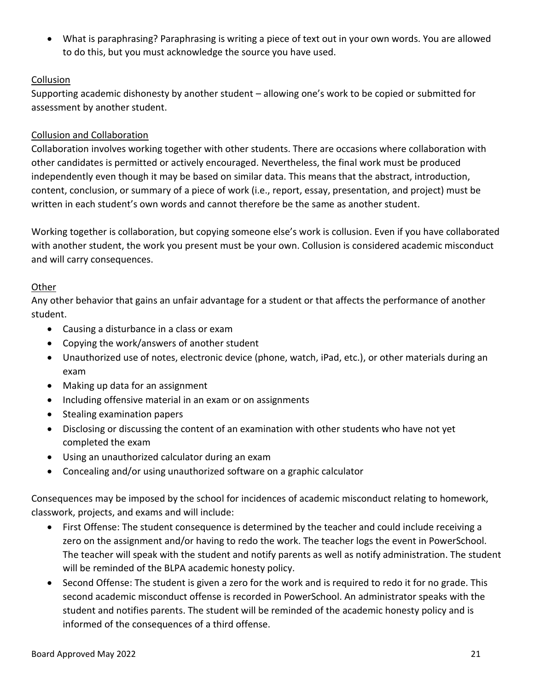• What is paraphrasing? Paraphrasing is writing a piece of text out in your own words. You are allowed to do this, but you must acknowledge the source you have used.

# **Collusion**

Supporting academic dishonesty by another student – allowing one's work to be copied or submitted for assessment by another student.

# Collusion and Collaboration

Collaboration involves working together with other students. There are occasions where collaboration with other candidates is permitted or actively encouraged. Nevertheless, the final work must be produced independently even though it may be based on similar data. This means that the abstract, introduction, content, conclusion, or summary of a piece of work (i.e., report, essay, presentation, and project) must be written in each student's own words and cannot therefore be the same as another student.

Working together is collaboration, but copying someone else's work is collusion. Even if you have collaborated with another student, the work you present must be your own. Collusion is considered academic misconduct and will carry consequences.

# Other

Any other behavior that gains an unfair advantage for a student or that affects the performance of another student.

- Causing a disturbance in a class or exam
- Copying the work/answers of another student
- Unauthorized use of notes, electronic device (phone, watch, iPad, etc.), or other materials during an exam
- Making up data for an assignment
- Including offensive material in an exam or on assignments
- Stealing examination papers
- Disclosing or discussing the content of an examination with other students who have not yet completed the exam
- Using an unauthorized calculator during an exam
- Concealing and/or using unauthorized software on a graphic calculator

Consequences may be imposed by the school for incidences of academic misconduct relating to homework, classwork, projects, and exams and will include:

- First Offense: The student consequence is determined by the teacher and could include receiving a zero on the assignment and/or having to redo the work. The teacher logs the event in PowerSchool. The teacher will speak with the student and notify parents as well as notify administration. The student will be reminded of the BLPA academic honesty policy.
- Second Offense: The student is given a zero for the work and is required to redo it for no grade. This second academic misconduct offense is recorded in PowerSchool. An administrator speaks with the student and notifies parents. The student will be reminded of the academic honesty policy and is informed of the consequences of a third offense.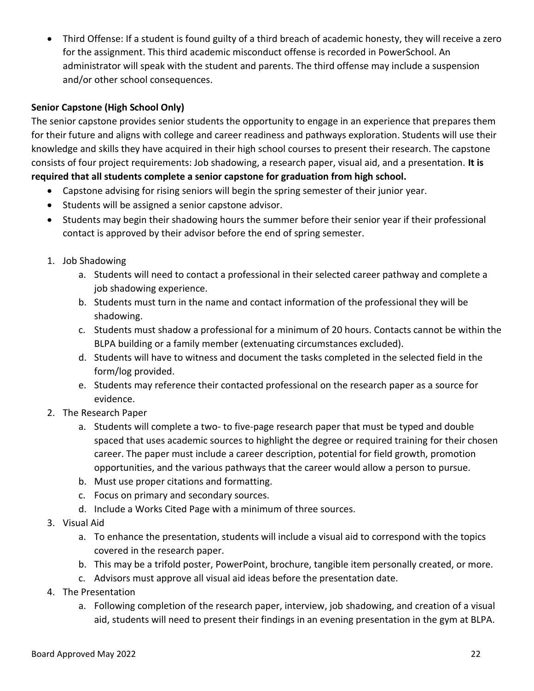• Third Offense: If a student is found guilty of a third breach of academic honesty, they will receive a zero for the assignment. This third academic misconduct offense is recorded in PowerSchool. An administrator will speak with the student and parents. The third offense may include a suspension and/or other school consequences.

## **Senior Capstone (High School Only)**

The senior capstone provides senior students the opportunity to engage in an experience that prepares them for their future and aligns with college and career readiness and pathways exploration. Students will use their knowledge and skills they have acquired in their high school courses to present their research. The capstone consists of four project requirements: Job shadowing, a research paper, visual aid, and a presentation. **It is required that all students complete a senior capstone for graduation from high school.**

- Capstone advising for rising seniors will begin the spring semester of their junior year.
- Students will be assigned a senior capstone advisor.
- Students may begin their shadowing hours the summer before their senior year if their professional contact is approved by their advisor before the end of spring semester.
- 1. Job Shadowing
	- a. Students will need to contact a professional in their selected career pathway and complete a job shadowing experience.
	- b. Students must turn in the name and contact information of the professional they will be shadowing.
	- c. Students must shadow a professional for a minimum of 20 hours. Contacts cannot be within the BLPA building or a family member (extenuating circumstances excluded).
	- d. Students will have to witness and document the tasks completed in the selected field in the form/log provided.
	- e. Students may reference their contacted professional on the research paper as a source for evidence.
- 2. The Research Paper
	- a. Students will complete a two- to five-page research paper that must be typed and double spaced that uses academic sources to highlight the degree or required training for their chosen career. The paper must include a career description, potential for field growth, promotion opportunities, and the various pathways that the career would allow a person to pursue.
	- b. Must use proper citations and formatting.
	- c. Focus on primary and secondary sources.
	- d. Include a Works Cited Page with a minimum of three sources.
- 3. Visual Aid
	- a. To enhance the presentation, students will include a visual aid to correspond with the topics covered in the research paper.
	- b. This may be a trifold poster, PowerPoint, brochure, tangible item personally created, or more.
	- c. Advisors must approve all visual aid ideas before the presentation date.
- 4. The Presentation
	- a. Following completion of the research paper, interview, job shadowing, and creation of a visual aid, students will need to present their findings in an evening presentation in the gym at BLPA.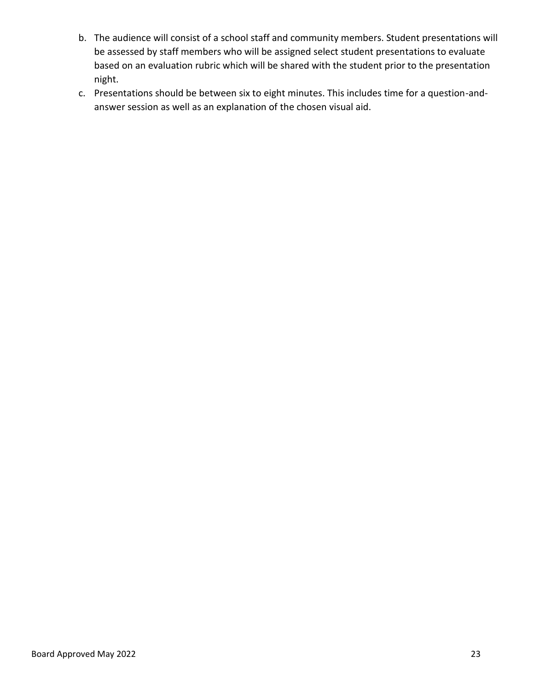- b. The audience will consist of a school staff and community members. Student presentations will be assessed by staff members who will be assigned select student presentations to evaluate based on an evaluation rubric which will be shared with the student prior to the presentation night.
- c. Presentations should be between six to eight minutes. This includes time for a question-andanswer session as well as an explanation of the chosen visual aid.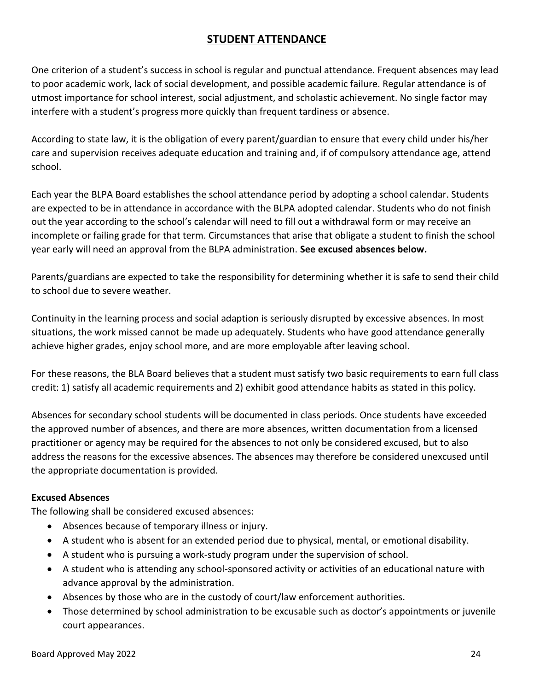# **STUDENT ATTENDANCE**

<span id="page-23-0"></span>One criterion of a student's success in school is regular and punctual attendance. Frequent absences may lead to poor academic work, lack of social development, and possible academic failure. Regular attendance is of utmost importance for school interest, social adjustment, and scholastic achievement. No single factor may interfere with a student's progress more quickly than frequent tardiness or absence.

According to state law, it is the obligation of every parent/guardian to ensure that every child under his/her care and supervision receives adequate education and training and, if of compulsory attendance age, attend school.

Each year the BLPA Board establishes the school attendance period by adopting a school calendar. Students are expected to be in attendance in accordance with the BLPA adopted calendar. Students who do not finish out the year according to the school's calendar will need to fill out a withdrawal form or may receive an incomplete or failing grade for that term. Circumstances that arise that obligate a student to finish the school year early will need an approval from the BLPA administration. **See excused absences below.**

Parents/guardians are expected to take the responsibility for determining whether it is safe to send their child to school due to severe weather.

Continuity in the learning process and social adaption is seriously disrupted by excessive absences. In most situations, the work missed cannot be made up adequately. Students who have good attendance generally achieve higher grades, enjoy school more, and are more employable after leaving school.

For these reasons, the BLA Board believes that a student must satisfy two basic requirements to earn full class credit: 1) satisfy all academic requirements and 2) exhibit good attendance habits as stated in this policy.

Absences for secondary school students will be documented in class periods. Once students have exceeded the approved number of absences, and there are more absences, written documentation from a licensed practitioner or agency may be required for the absences to not only be considered excused, but to also address the reasons for the excessive absences. The absences may therefore be considered unexcused until the appropriate documentation is provided.

# **Excused Absences**

The following shall be considered excused absences:

- Absences because of temporary illness or injury.
- A student who is absent for an extended period due to physical, mental, or emotional disability.
- A student who is pursuing a work-study program under the supervision of school.
- A student who is attending any school-sponsored activity or activities of an educational nature with advance approval by the administration.
- Absences by those who are in the custody of court/law enforcement authorities.
- Those determined by school administration to be excusable such as doctor's appointments or juvenile court appearances.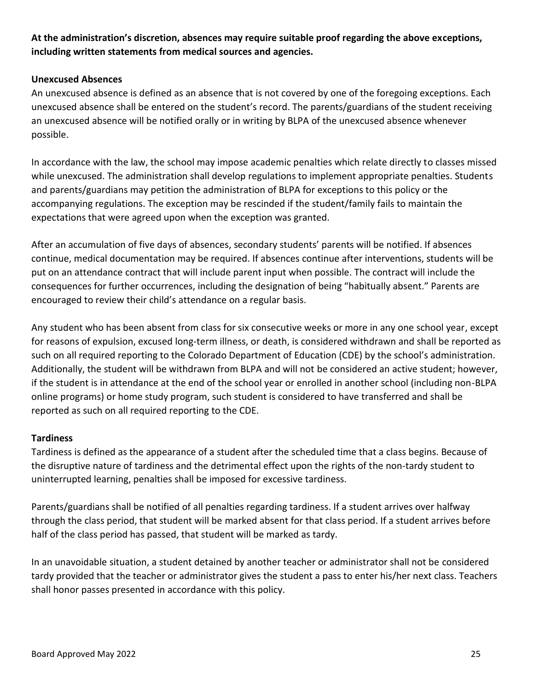# **At the administration's discretion, absences may require suitable proof regarding the above exceptions, including written statements from medical sources and agencies.**

## **Unexcused Absences**

An unexcused absence is defined as an absence that is not covered by one of the foregoing exceptions. Each unexcused absence shall be entered on the student's record. The parents/guardians of the student receiving an unexcused absence will be notified orally or in writing by BLPA of the unexcused absence whenever possible.

In accordance with the law, the school may impose academic penalties which relate directly to classes missed while unexcused. The administration shall develop regulations to implement appropriate penalties. Students and parents/guardians may petition the administration of BLPA for exceptions to this policy or the accompanying regulations. The exception may be rescinded if the student/family fails to maintain the expectations that were agreed upon when the exception was granted.

After an accumulation of five days of absences, secondary students' parents will be notified. If absences continue, medical documentation may be required. If absences continue after interventions, students will be put on an attendance contract that will include parent input when possible. The contract will include the consequences for further occurrences, including the designation of being "habitually absent." Parents are encouraged to review their child's attendance on a regular basis.

Any student who has been absent from class for six consecutive weeks or more in any one school year, except for reasons of expulsion, excused long-term illness, or death, is considered withdrawn and shall be reported as such on all required reporting to the Colorado Department of Education (CDE) by the school's administration. Additionally, the student will be withdrawn from BLPA and will not be considered an active student; however, if the student is in attendance at the end of the school year or enrolled in another school (including non-BLPA online programs) or home study program, such student is considered to have transferred and shall be reported as such on all required reporting to the CDE.

#### **Tardiness**

Tardiness is defined as the appearance of a student after the scheduled time that a class begins. Because of the disruptive nature of tardiness and the detrimental effect upon the rights of the non-tardy student to uninterrupted learning, penalties shall be imposed for excessive tardiness.

Parents/guardians shall be notified of all penalties regarding tardiness. If a student arrives over halfway through the class period, that student will be marked absent for that class period. If a student arrives before half of the class period has passed, that student will be marked as tardy.

In an unavoidable situation, a student detained by another teacher or administrator shall not be considered tardy provided that the teacher or administrator gives the student a pass to enter his/her next class. Teachers shall honor passes presented in accordance with this policy.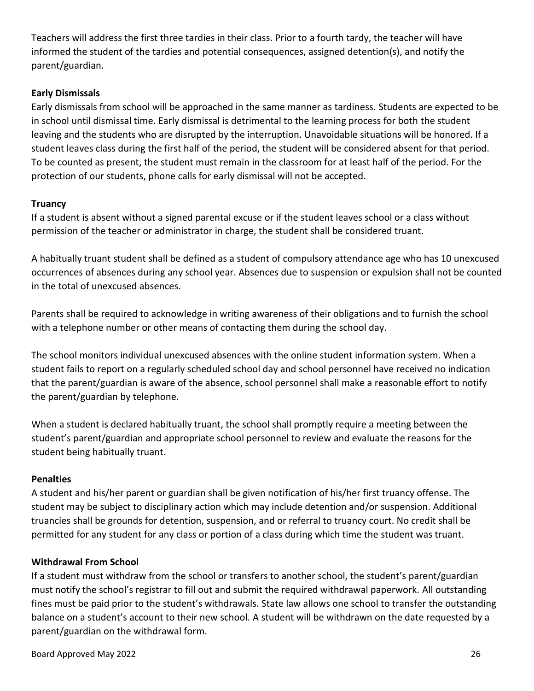Teachers will address the first three tardies in their class. Prior to a fourth tardy, the teacher will have informed the student of the tardies and potential consequences, assigned detention(s), and notify the parent/guardian.

# **Early Dismissals**

Early dismissals from school will be approached in the same manner as tardiness. Students are expected to be in school until dismissal time. Early dismissal is detrimental to the learning process for both the student leaving and the students who are disrupted by the interruption. Unavoidable situations will be honored. If a student leaves class during the first half of the period, the student will be considered absent for that period. To be counted as present, the student must remain in the classroom for at least half of the period. For the protection of our students, phone calls for early dismissal will not be accepted.

# **Truancy**

If a student is absent without a signed parental excuse or if the student leaves school or a class without permission of the teacher or administrator in charge, the student shall be considered truant.

A habitually truant student shall be defined as a student of compulsory attendance age who has 10 unexcused occurrences of absences during any school year. Absences due to suspension or expulsion shall not be counted in the total of unexcused absences.

Parents shall be required to acknowledge in writing awareness of their obligations and to furnish the school with a telephone number or other means of contacting them during the school day.

The school monitors individual unexcused absences with the online student information system. When a student fails to report on a regularly scheduled school day and school personnel have received no indication that the parent/guardian is aware of the absence, school personnel shall make a reasonable effort to notify the parent/guardian by telephone.

When a student is declared habitually truant, the school shall promptly require a meeting between the student's parent/guardian and appropriate school personnel to review and evaluate the reasons for the student being habitually truant.

# **Penalties**

A student and his/her parent or guardian shall be given notification of his/her first truancy offense. The student may be subject to disciplinary action which may include detention and/or suspension. Additional truancies shall be grounds for detention, suspension, and or referral to truancy court. No credit shall be permitted for any student for any class or portion of a class during which time the student was truant.

# **Withdrawal From School**

If a student must withdraw from the school or transfers to another school, the student's parent/guardian must notify the school's registrar to fill out and submit the required withdrawal paperwork. All outstanding fines must be paid prior to the student's withdrawals. State law allows one school to transfer the outstanding balance on a student's account to their new school. A student will be withdrawn on the date requested by a parent/guardian on the withdrawal form.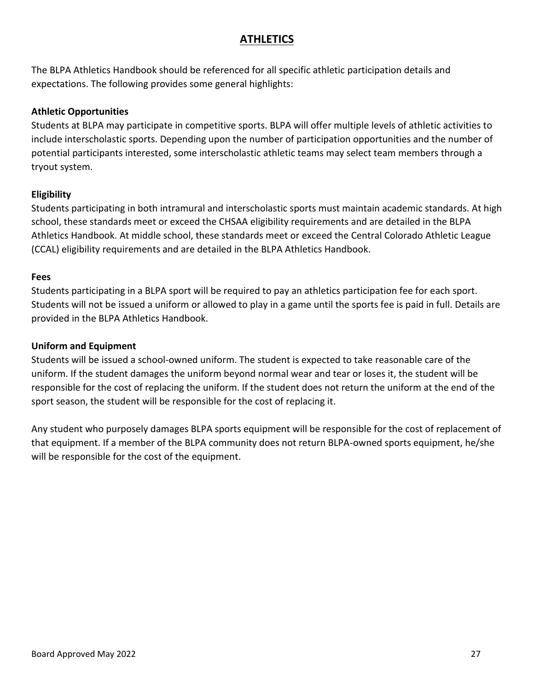# **ATHLETICS**

<span id="page-26-0"></span>The BLPA Athletics Handbook should be referenced for all specific athletic participation details and expectations. The following provides some general highlights:

## **Athletic Opportunities**

Students at BLPA may participate in competitive sports. BLPA will offer multiple levels of athletic activities to include interscholastic sports. Depending upon the number of participation opportunities and the number of potential participants interested, some interscholastic athletic teams may select team members through a tryout system.

# **Eligibility**

Students participating in both intramural and interscholastic sports must maintain academic standards. At high school, these standards meet or exceed the CHSAA eligibility requirements and are detailed in the BLPA Athletics Handbook. At middle school, these standards meet or exceed the Central Colorado Athletic League (CCAL) eligibility requirements and are detailed in the BLPA Athletics Handbook.

#### **Fees**

Students participating in a BLPA sport will be required to pay an athletics participation fee for each sport. Students will not be issued a uniform or allowed to play in a game until the sports fee is paid in full. Details are provided in the BLPA Athletics Handbook.

#### **Uniform and Equipment**

Students will be issued a school-owned uniform. The student is expected to take reasonable care of the uniform. If the student damages the uniform beyond normal wear and tear or loses it, the student will be responsible for the cost of replacing the uniform. If the student does not return the uniform at the end of the sport season, the student will be responsible for the cost of replacing it.

Any student who purposely damages BLPA sports equipment will be responsible for the cost of replacement of that equipment. If a member of the BLPA community does not return BLPA-owned sports equipment, he/she will be responsible for the cost of the equipment.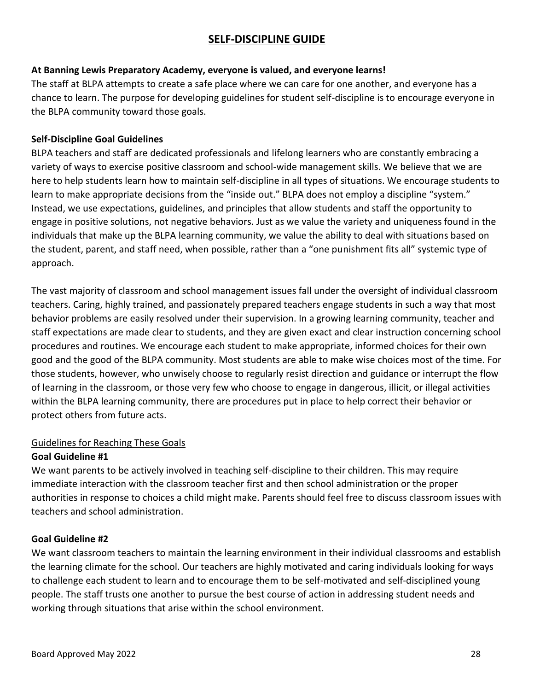# **SELF-DISCIPLINE GUIDE**

# <span id="page-27-0"></span>**At Banning Lewis Preparatory Academy, everyone is valued, and everyone learns!**

The staff at BLPA attempts to create a safe place where we can care for one another, and everyone has a chance to learn. The purpose for developing guidelines for student self-discipline is to encourage everyone in the BLPA community toward those goals.

## **Self-Discipline Goal Guidelines**

BLPA teachers and staff are dedicated professionals and lifelong learners who are constantly embracing a variety of ways to exercise positive classroom and school-wide management skills. We believe that we are here to help students learn how to maintain self-discipline in all types of situations. We encourage students to learn to make appropriate decisions from the "inside out." BLPA does not employ a discipline "system." Instead, we use expectations, guidelines, and principles that allow students and staff the opportunity to engage in positive solutions, not negative behaviors. Just as we value the variety and uniqueness found in the individuals that make up the BLPA learning community, we value the ability to deal with situations based on the student, parent, and staff need, when possible, rather than a "one punishment fits all" systemic type of approach.

The vast majority of classroom and school management issues fall under the oversight of individual classroom teachers. Caring, highly trained, and passionately prepared teachers engage students in such a way that most behavior problems are easily resolved under their supervision. In a growing learning community, teacher and staff expectations are made clear to students, and they are given exact and clear instruction concerning school procedures and routines. We encourage each student to make appropriate, informed choices for their own good and the good of the BLPA community. Most students are able to make wise choices most of the time. For those students, however, who unwisely choose to regularly resist direction and guidance or interrupt the flow of learning in the classroom, or those very few who choose to engage in dangerous, illicit, or illegal activities within the BLPA learning community, there are procedures put in place to help correct their behavior or protect others from future acts.

# Guidelines for Reaching These Goals

#### **Goal Guideline #1**

We want parents to be actively involved in teaching self-discipline to their children. This may require immediate interaction with the classroom teacher first and then school administration or the proper authorities in response to choices a child might make. Parents should feel free to discuss classroom issues with teachers and school administration.

#### **Goal Guideline #2**

We want classroom teachers to maintain the learning environment in their individual classrooms and establish the learning climate for the school. Our teachers are highly motivated and caring individuals looking for ways to challenge each student to learn and to encourage them to be self-motivated and self-disciplined young people. The staff trusts one another to pursue the best course of action in addressing student needs and working through situations that arise within the school environment.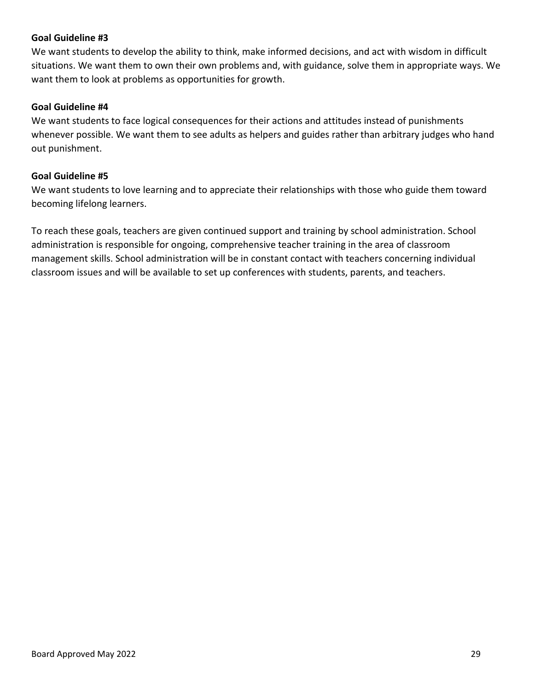## **Goal Guideline #3**

We want students to develop the ability to think, make informed decisions, and act with wisdom in difficult situations. We want them to own their own problems and, with guidance, solve them in appropriate ways. We want them to look at problems as opportunities for growth.

#### **Goal Guideline #4**

We want students to face logical consequences for their actions and attitudes instead of punishments whenever possible. We want them to see adults as helpers and guides rather than arbitrary judges who hand out punishment.

#### **Goal Guideline #5**

We want students to love learning and to appreciate their relationships with those who guide them toward becoming lifelong learners.

To reach these goals, teachers are given continued support and training by school administration. School administration is responsible for ongoing, comprehensive teacher training in the area of classroom management skills. School administration will be in constant contact with teachers concerning individual classroom issues and will be available to set up conferences with students, parents, and teachers.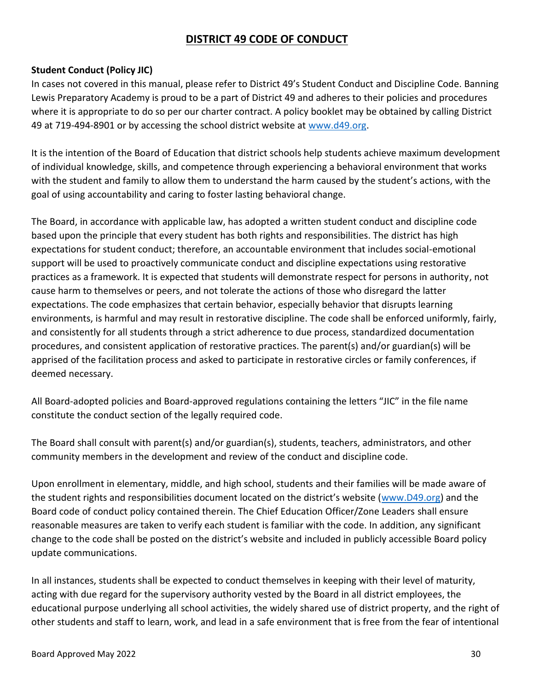# **DISTRICT 49 CODE OF CONDUCT**

# <span id="page-29-0"></span>**Student Conduct (Policy JIC)**

In cases not covered in this manual, please refer to District 49's Student Conduct and Discipline Code. Banning Lewis Preparatory Academy is proud to be a part of District 49 and adheres to their policies and procedures where it is appropriate to do so per our charter contract. A policy booklet may be obtained by calling District 49 at 719-494-8901 or by accessing the school district website at [www.d49.org.](http://www.d49.org/)

It is the intention of the Board of Education that district schools help students achieve maximum development of individual knowledge, skills, and competence through experiencing a behavioral environment that works with the student and family to allow them to understand the harm caused by the student's actions, with the goal of using accountability and caring to foster lasting behavioral change.

The Board, in accordance with applicable law, has adopted a written student conduct and discipline code based upon the principle that every student has both rights and responsibilities. The district has high expectations for student conduct; therefore, an accountable environment that includes social-emotional support will be used to proactively communicate conduct and discipline expectations using restorative practices as a framework. It is expected that students will demonstrate respect for persons in authority, not cause harm to themselves or peers, and not tolerate the actions of those who disregard the latter expectations. The code emphasizes that certain behavior, especially behavior that disrupts learning environments, is harmful and may result in restorative discipline. The code shall be enforced uniformly, fairly, and consistently for all students through a strict adherence to due process, standardized documentation procedures, and consistent application of restorative practices. The parent(s) and/or guardian(s) will be apprised of the facilitation process and asked to participate in restorative circles or family conferences, if deemed necessary.

All Board-adopted policies and Board-approved regulations containing the letters "JIC" in the file name constitute the conduct section of the legally required code.

The Board shall consult with parent(s) and/or guardian(s), students, teachers, administrators, and other community members in the development and review of the conduct and discipline code.

Upon enrollment in elementary, middle, and high school, students and their families will be made aware of the student rights and responsibilities document located on the district's website ([www.D49.org\)](http://www.d49.org/) and the Board code of conduct policy contained therein. The Chief Education Officer/Zone Leaders shall ensure reasonable measures are taken to verify each student is familiar with the code. In addition, any significant change to the code shall be posted on the district's website and included in publicly accessible Board policy update communications.

In all instances, students shall be expected to conduct themselves in keeping with their level of maturity, acting with due regard for the supervisory authority vested by the Board in all district employees, the educational purpose underlying all school activities, the widely shared use of district property, and the right of other students and staff to learn, work, and lead in a safe environment that is free from the fear of intentional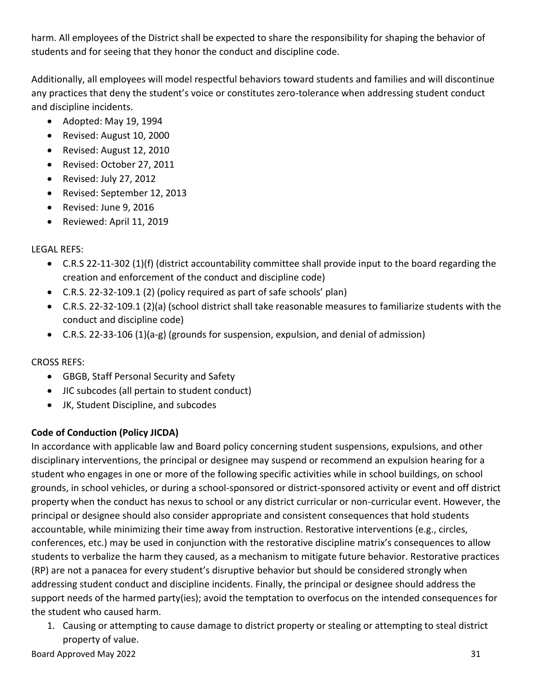harm. All employees of the District shall be expected to share the responsibility for shaping the behavior of students and for seeing that they honor the conduct and discipline code.

Additionally, all employees will model respectful behaviors toward students and families and will discontinue any practices that deny the student's voice or constitutes zero-tolerance when addressing student conduct and discipline incidents.

- Adopted: May 19, 1994
- Revised: August 10, 2000
- Revised: August 12, 2010
- Revised: October 27, 2011
- Revised: July 27, 2012
- Revised: September 12, 2013
- Revised: June 9, 2016
- Reviewed: April 11, 2019

# LEGAL REFS:

- C.R.S 22-11-302 (1)(f) (district accountability committee shall provide input to the board regarding the creation and enforcement of the conduct and discipline code)
- C.R.S. 22-32-109.1 (2) (policy required as part of safe schools' plan)
- C.R.S. 22-32-109.1 (2)(a) (school district shall take reasonable measures to familiarize students with the conduct and discipline code)
- C.R.S. 22-33-106 (1)(a-g) (grounds for suspension, expulsion, and denial of admission)

CROSS REFS:

- GBGB, Staff Personal Security and Safety
- JIC subcodes (all pertain to student conduct)
- JK, Student Discipline, and subcodes

# **Code of Conduction (Policy JICDA)**

In accordance with applicable law and Board policy concerning student suspensions, expulsions, and other disciplinary interventions, the principal or designee may suspend or recommend an expulsion hearing for a student who engages in one or more of the following specific activities while in school buildings, on school grounds, in school vehicles, or during a school-sponsored or district-sponsored activity or event and off district property when the conduct has nexus to school or any district curricular or non-curricular event. However, the principal or designee should also consider appropriate and consistent consequences that hold students accountable, while minimizing their time away from instruction. Restorative interventions (e.g., circles, conferences, etc.) may be used in conjunction with the restorative discipline matrix's consequences to allow students to verbalize the harm they caused, as a mechanism to mitigate future behavior. Restorative practices (RP) are not a panacea for every student's disruptive behavior but should be considered strongly when addressing student conduct and discipline incidents. Finally, the principal or designee should address the support needs of the harmed party(ies); avoid the temptation to overfocus on the intended consequences for the student who caused harm.

1. Causing or attempting to cause damage to district property or stealing or attempting to steal district property of value.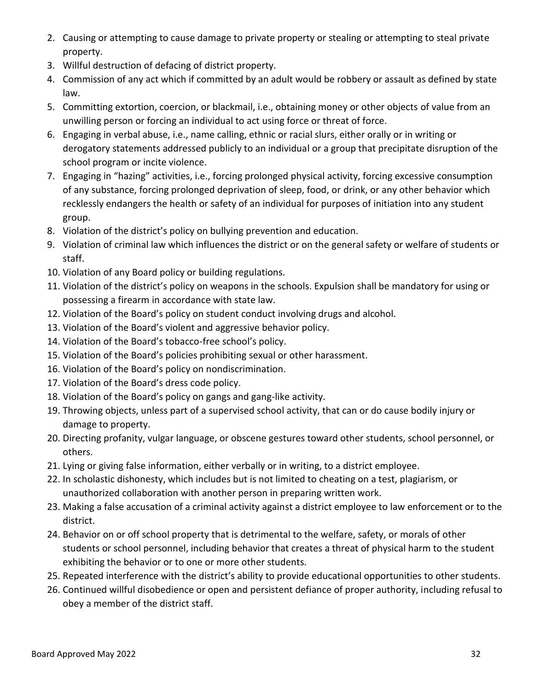- 2. Causing or attempting to cause damage to private property or stealing or attempting to steal private property.
- 3. Willful destruction of defacing of district property.
- 4. Commission of any act which if committed by an adult would be robbery or assault as defined by state law.
- 5. Committing extortion, coercion, or blackmail, i.e., obtaining money or other objects of value from an unwilling person or forcing an individual to act using force or threat of force.
- 6. Engaging in verbal abuse, i.e., name calling, ethnic or racial slurs, either orally or in writing or derogatory statements addressed publicly to an individual or a group that precipitate disruption of the school program or incite violence.
- 7. Engaging in "hazing" activities, i.e., forcing prolonged physical activity, forcing excessive consumption of any substance, forcing prolonged deprivation of sleep, food, or drink, or any other behavior which recklessly endangers the health or safety of an individual for purposes of initiation into any student group.
- 8. Violation of the district's policy on bullying prevention and education.
- 9. Violation of criminal law which influences the district or on the general safety or welfare of students or staff.
- 10. Violation of any Board policy or building regulations.
- 11. Violation of the district's policy on weapons in the schools. Expulsion shall be mandatory for using or possessing a firearm in accordance with state law.
- 12. Violation of the Board's policy on student conduct involving drugs and alcohol.
- 13. Violation of the Board's violent and aggressive behavior policy.
- 14. Violation of the Board's tobacco-free school's policy.
- 15. Violation of the Board's policies prohibiting sexual or other harassment.
- 16. Violation of the Board's policy on nondiscrimination.
- 17. Violation of the Board's dress code policy.
- 18. Violation of the Board's policy on gangs and gang-like activity.
- 19. Throwing objects, unless part of a supervised school activity, that can or do cause bodily injury or damage to property.
- 20. Directing profanity, vulgar language, or obscene gestures toward other students, school personnel, or others.
- 21. Lying or giving false information, either verbally or in writing, to a district employee.
- 22. In scholastic dishonesty, which includes but is not limited to cheating on a test, plagiarism, or unauthorized collaboration with another person in preparing written work.
- 23. Making a false accusation of a criminal activity against a district employee to law enforcement or to the district.
- 24. Behavior on or off school property that is detrimental to the welfare, safety, or morals of other students or school personnel, including behavior that creates a threat of physical harm to the student exhibiting the behavior or to one or more other students.
- 25. Repeated interference with the district's ability to provide educational opportunities to other students.
- 26. Continued willful disobedience or open and persistent defiance of proper authority, including refusal to obey a member of the district staff.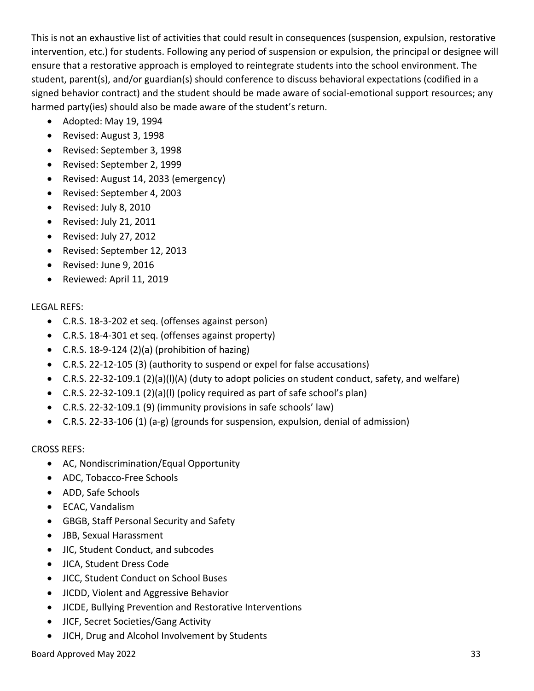This is not an exhaustive list of activities that could result in consequences (suspension, expulsion, restorative intervention, etc.) for students. Following any period of suspension or expulsion, the principal or designee will ensure that a restorative approach is employed to reintegrate students into the school environment. The student, parent(s), and/or guardian(s) should conference to discuss behavioral expectations (codified in a signed behavior contract) and the student should be made aware of social-emotional support resources; any harmed party(ies) should also be made aware of the student's return.

- Adopted: May 19, 1994
- Revised: August 3, 1998
- Revised: September 3, 1998
- Revised: September 2, 1999
- Revised: August 14, 2033 (emergency)
- Revised: September 4, 2003
- Revised: July 8, 2010
- Revised: July 21, 2011
- Revised: July 27, 2012
- Revised: September 12, 2013
- Revised: June 9, 2016
- Reviewed: April 11, 2019

# LEGAL REFS:

- C.R.S. 18-3-202 et seq. (offenses against person)
- C.R.S. 18-4-301 et seq. (offenses against property)
- C.R.S. 18-9-124 (2)(a) (prohibition of hazing)
- C.R.S. 22-12-105 (3) (authority to suspend or expel for false accusations)
- C.R.S. 22-32-109.1 (2)(a)(l)(A) (duty to adopt policies on student conduct, safety, and welfare)
- C.R.S. 22-32-109.1 (2)(a)(l) (policy required as part of safe school's plan)
- C.R.S. 22-32-109.1 (9) (immunity provisions in safe schools' law)
- C.R.S. 22-33-106 (1) (a-g) (grounds for suspension, expulsion, denial of admission)

# CROSS REFS:

- AC, Nondiscrimination/Equal Opportunity
- ADC, Tobacco-Free Schools
- ADD, Safe Schools
- ECAC, Vandalism
- GBGB, Staff Personal Security and Safety
- JBB, Sexual Harassment
- JIC, Student Conduct, and subcodes
- JICA, Student Dress Code
- JICC, Student Conduct on School Buses
- JICDD, Violent and Aggressive Behavior
- JICDE, Bullying Prevention and Restorative Interventions
- JICF, Secret Societies/Gang Activity
- JICH, Drug and Alcohol Involvement by Students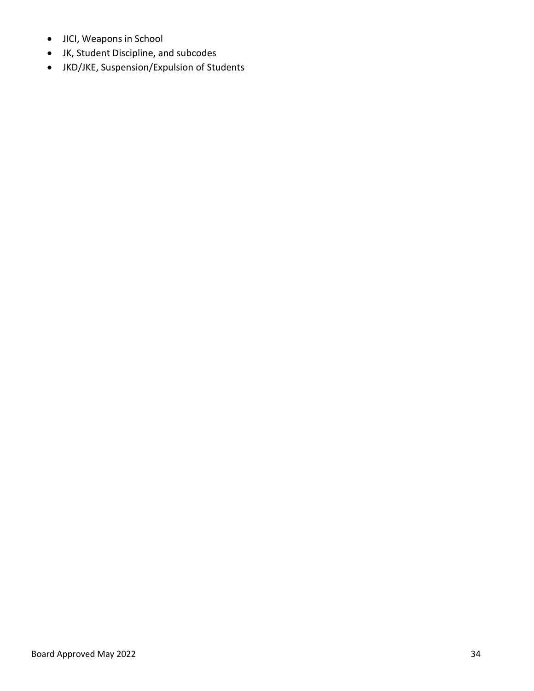- JICI, Weapons in School
- JK, Student Discipline, and subcodes
- JKD/JKE, Suspension/Expulsion of Students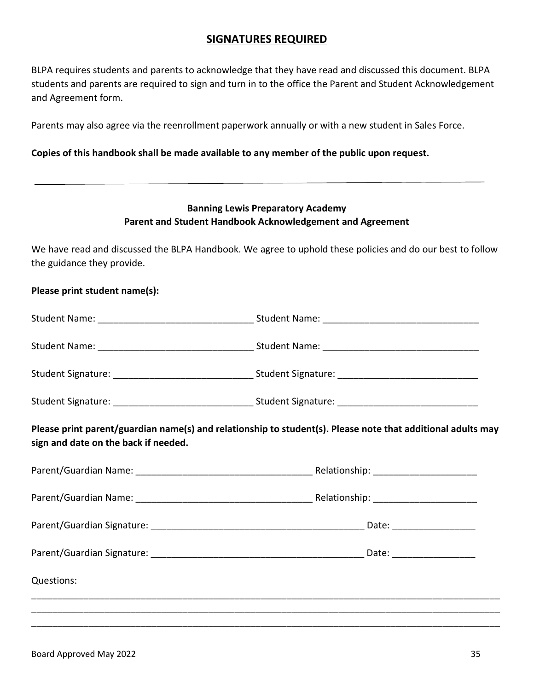# **SIGNATURES REQUIRED**

<span id="page-34-0"></span>BLPA requires students and parents to acknowledge that they have read and discussed this document. BLPA students and parents are required to sign and turn in to the office the Parent and Student Acknowledgement and Agreement form.

Parents may also agree via the reenrollment paperwork annually or with a new student in Sales Force.

#### **Copies of this handbook shall be made available to any member of the public upon request.**

# **Banning Lewis Preparatory Academy Parent and Student Handbook Acknowledgement and Agreement**

We have read and discussed the BLPA Handbook. We agree to uphold these policies and do our best to follow the guidance they provide.

| Please print student name(s):        |                                                                                                             |  |
|--------------------------------------|-------------------------------------------------------------------------------------------------------------|--|
|                                      |                                                                                                             |  |
|                                      |                                                                                                             |  |
|                                      |                                                                                                             |  |
|                                      |                                                                                                             |  |
| sign and date on the back if needed. | Please print parent/guardian name(s) and relationship to student(s). Please note that additional adults may |  |
|                                      |                                                                                                             |  |
|                                      |                                                                                                             |  |
|                                      |                                                                                                             |  |
|                                      |                                                                                                             |  |
| Questions:                           |                                                                                                             |  |
|                                      |                                                                                                             |  |
|                                      |                                                                                                             |  |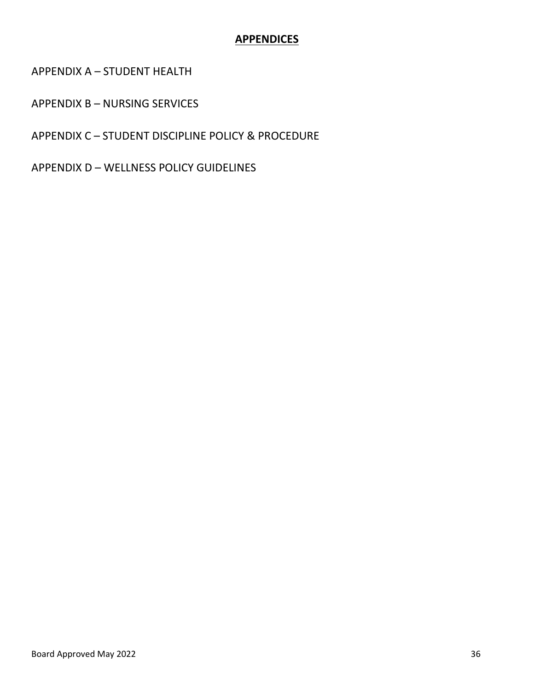# **APPENDICES**

<span id="page-35-0"></span>APPENDIX A – STUDENT HEALTH

APPENDIX B – NURSING SERVICES

APPENDIX C – STUDENT DISCIPLINE POLICY & PROCEDURE

APPENDIX D – WELLNESS POLICY GUIDELINES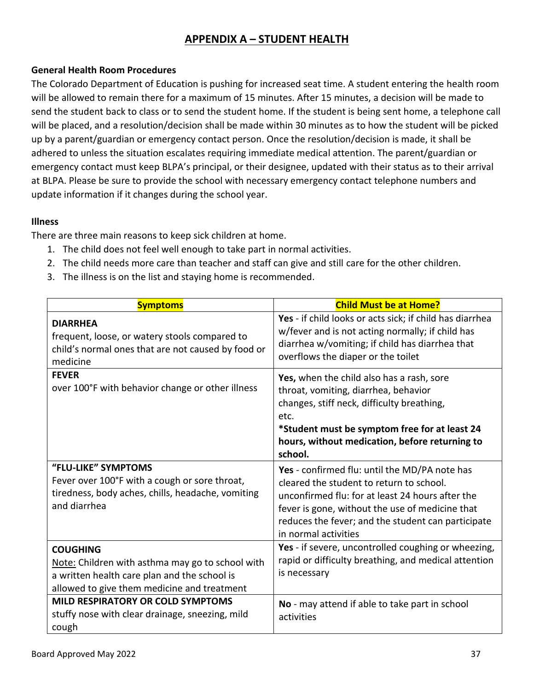# **APPENDIX A – STUDENT HEALTH**

# <span id="page-36-0"></span>**General Health Room Procedures**

The Colorado Department of Education is pushing for increased seat time. A student entering the health room will be allowed to remain there for a maximum of 15 minutes. After 15 minutes, a decision will be made to send the student back to class or to send the student home. If the student is being sent home, a telephone call will be placed, and a resolution/decision shall be made within 30 minutes as to how the student will be picked up by a parent/guardian or emergency contact person. Once the resolution/decision is made, it shall be adhered to unless the situation escalates requiring immediate medical attention. The parent/guardian or emergency contact must keep BLPA's principal, or their designee, updated with their status as to their arrival at BLPA. Please be sure to provide the school with necessary emergency contact telephone numbers and update information if it changes during the school year.

## **Illness**

There are three main reasons to keep sick children at home.

- 1. The child does not feel well enough to take part in normal activities.
- 2. The child needs more care than teacher and staff can give and still care for the other children.
- 3. The illness is on the list and staying home is recommended.

| <b>Symptoms</b>                                                                                                                                                    | <b>Child Must be at Home?</b>                                                                                                                                                                                                                                                  |
|--------------------------------------------------------------------------------------------------------------------------------------------------------------------|--------------------------------------------------------------------------------------------------------------------------------------------------------------------------------------------------------------------------------------------------------------------------------|
| <b>DIARRHEA</b><br>frequent, loose, or watery stools compared to<br>child's normal ones that are not caused by food or<br>medicine                                 | Yes - if child looks or acts sick; if child has diarrhea<br>w/fever and is not acting normally; if child has<br>diarrhea w/vomiting; if child has diarrhea that<br>overflows the diaper or the toilet                                                                          |
| <b>FEVER</b><br>over 100°F with behavior change or other illness                                                                                                   | Yes, when the child also has a rash, sore<br>throat, vomiting, diarrhea, behavior<br>changes, stiff neck, difficulty breathing,<br>etc.<br>*Student must be symptom free for at least 24<br>hours, without medication, before returning to<br>school.                          |
| "FLU-LIKE" SYMPTOMS<br>Fever over 100°F with a cough or sore throat,<br>tiredness, body aches, chills, headache, vomiting<br>and diarrhea                          | Yes - confirmed flu: until the MD/PA note has<br>cleared the student to return to school.<br>unconfirmed flu: for at least 24 hours after the<br>fever is gone, without the use of medicine that<br>reduces the fever; and the student can participate<br>in normal activities |
| <b>COUGHING</b><br>Note: Children with asthma may go to school with<br>a written health care plan and the school is<br>allowed to give them medicine and treatment | Yes - if severe, uncontrolled coughing or wheezing,<br>rapid or difficulty breathing, and medical attention<br>is necessary                                                                                                                                                    |
| <b>MILD RESPIRATORY OR COLD SYMPTOMS</b><br>stuffy nose with clear drainage, sneezing, mild<br>cough                                                               | No - may attend if able to take part in school<br>activities                                                                                                                                                                                                                   |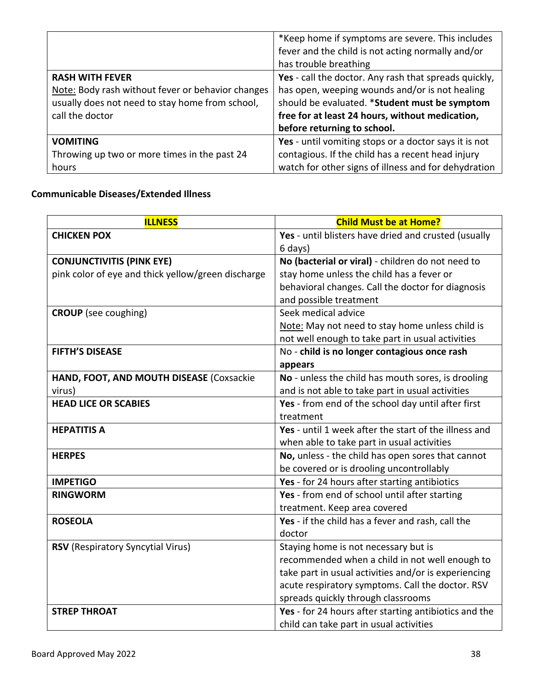|                                                   | *Keep home if symptoms are severe. This includes      |
|---------------------------------------------------|-------------------------------------------------------|
|                                                   | fever and the child is not acting normally and/or     |
|                                                   | has trouble breathing                                 |
| <b>RASH WITH FEVER</b>                            | Yes - call the doctor. Any rash that spreads quickly, |
| Note: Body rash without fever or behavior changes | has open, weeping wounds and/or is not healing        |
| usually does not need to stay home from school,   | should be evaluated. *Student must be symptom         |
| call the doctor                                   | free for at least 24 hours, without medication,       |
|                                                   | before returning to school.                           |
| <b>VOMITING</b>                                   | Yes - until vomiting stops or a doctor says it is not |
| Throwing up two or more times in the past 24      | contagious. If the child has a recent head injury     |
| hours                                             | watch for other signs of illness and for dehydration  |

# **Communicable Diseases/Extended Illness**

| <b>ILLNESS</b>                                     | <b>Child Must be at Home?</b>                         |
|----------------------------------------------------|-------------------------------------------------------|
| <b>CHICKEN POX</b>                                 | Yes - until blisters have dried and crusted (usually  |
|                                                    | 6 days)                                               |
| <b>CONJUNCTIVITIS (PINK EYE)</b>                   | No (bacterial or viral) - children do not need to     |
| pink color of eye and thick yellow/green discharge | stay home unless the child has a fever or             |
|                                                    | behavioral changes. Call the doctor for diagnosis     |
|                                                    | and possible treatment                                |
| <b>CROUP</b> (see coughing)                        | Seek medical advice                                   |
|                                                    | Note: May not need to stay home unless child is       |
|                                                    | not well enough to take part in usual activities      |
| <b>FIFTH'S DISEASE</b>                             | No - child is no longer contagious once rash          |
|                                                    | appears                                               |
| HAND, FOOT, AND MOUTH DISEASE (Coxsackie           | No - unless the child has mouth sores, is drooling    |
| virus)                                             | and is not able to take part in usual activities      |
| <b>HEAD LICE OR SCABIES</b>                        | Yes - from end of the school day until after first    |
|                                                    | treatment                                             |
| <b>HEPATITIS A</b>                                 | Yes - until 1 week after the start of the illness and |
|                                                    | when able to take part in usual activities            |
| <b>HERPES</b>                                      | No, unless - the child has open sores that cannot     |
|                                                    | be covered or is drooling uncontrollably              |
| <b>IMPETIGO</b>                                    | Yes - for 24 hours after starting antibiotics         |
| <b>RINGWORM</b>                                    | Yes - from end of school until after starting         |
|                                                    | treatment. Keep area covered                          |
| <b>ROSEOLA</b>                                     | Yes - if the child has a fever and rash, call the     |
|                                                    | doctor                                                |
| RSV (Respiratory Syncytial Virus)                  | Staying home is not necessary but is                  |
|                                                    | recommended when a child in not well enough to        |
|                                                    | take part in usual activities and/or is experiencing  |
|                                                    | acute respiratory symptoms. Call the doctor. RSV      |
|                                                    | spreads quickly through classrooms                    |
| <b>STREP THROAT</b>                                | Yes - for 24 hours after starting antibiotics and the |
|                                                    | child can take part in usual activities               |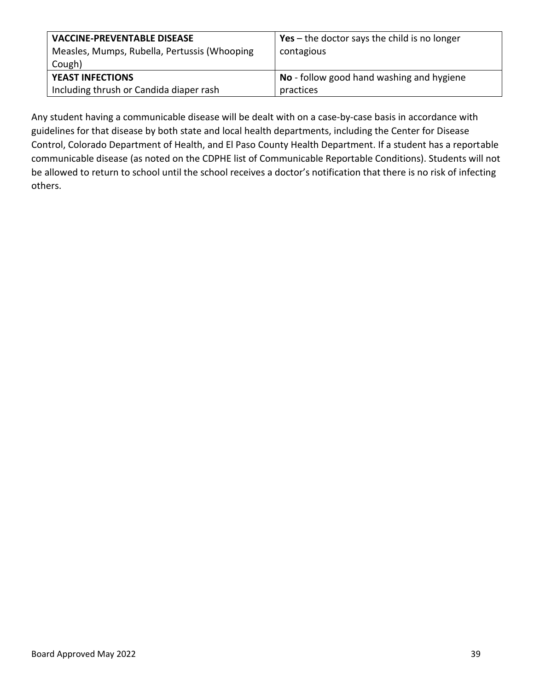| <b>VACCINE-PREVENTABLE DISEASE</b><br>Measles, Mumps, Rubella, Pertussis (Whooping<br>Cough) | Yes – the doctor says the child is no longer<br>contagious |
|----------------------------------------------------------------------------------------------|------------------------------------------------------------|
| <b>YEAST INFECTIONS</b>                                                                      | No - follow good hand washing and hygiene                  |
| Including thrush or Candida diaper rash                                                      | practices                                                  |

Any student having a communicable disease will be dealt with on a case-by-case basis in accordance with guidelines for that disease by both state and local health departments, including the Center for Disease Control, Colorado Department of Health, and El Paso County Health Department. If a student has a reportable communicable disease (as noted on the CDPHE list of Communicable Reportable Conditions). Students will not be allowed to return to school until the school receives a doctor's notification that there is no risk of infecting others.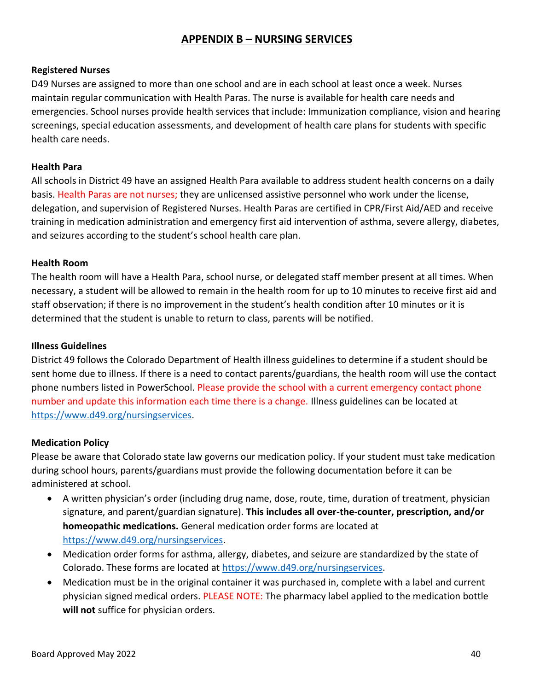# **APPENDIX B – NURSING SERVICES**

#### <span id="page-39-0"></span>**Registered Nurses**

D49 Nurses are assigned to more than one school and are in each school at least once a week. Nurses maintain regular communication with Health Paras. The nurse is available for health care needs and emergencies. School nurses provide health services that include: Immunization compliance, vision and hearing screenings, special education assessments, and development of health care plans for students with specific health care needs.

#### **Health Para**

All schools in District 49 have an assigned Health Para available to address student health concerns on a daily basis. Health Paras are not nurses; they are unlicensed assistive personnel who work under the license, delegation, and supervision of Registered Nurses. Health Paras are certified in CPR/First Aid/AED and receive training in medication administration and emergency first aid intervention of asthma, severe allergy, diabetes, and seizures according to the student's school health care plan.

#### **Health Room**

The health room will have a Health Para, school nurse, or delegated staff member present at all times. When necessary, a student will be allowed to remain in the health room for up to 10 minutes to receive first aid and staff observation; if there is no improvement in the student's health condition after 10 minutes or it is determined that the student is unable to return to class, parents will be notified.

#### **Illness Guidelines**

District 49 follows the Colorado Department of Health illness guidelines to determine if a student should be sent home due to illness. If there is a need to contact parents/guardians, the health room will use the contact phone numbers listed in PowerSchool. Please provide the school with a current emergency contact phone number and update this information each time there is a change. Illness guidelines can be located at [https://www.d49.org/nursingservices.](https://www.d49.org/nursingservices)

#### **Medication Policy**

Please be aware that Colorado state law governs our medication policy. If your student must take medication during school hours, parents/guardians must provide the following documentation before it can be administered at school.

- A written physician's order (including drug name, dose, route, time, duration of treatment, physician signature, and parent/guardian signature). **This includes all over-the-counter, prescription, and/or homeopathic medications.** General medication order forms are located at [https://www.d49.org/nursingservices.](https://www.d49.org/nursingservices)
- Medication order forms for asthma, allergy, diabetes, and seizure are standardized by the state of Colorado. These forms are located at [https://www.d49.org/nursingservices.](https://www.d49.org/nursingservices)
- Medication must be in the original container it was purchased in, complete with a label and current physician signed medical orders. PLEASE NOTE: The pharmacy label applied to the medication bottle **will not** suffice for physician orders.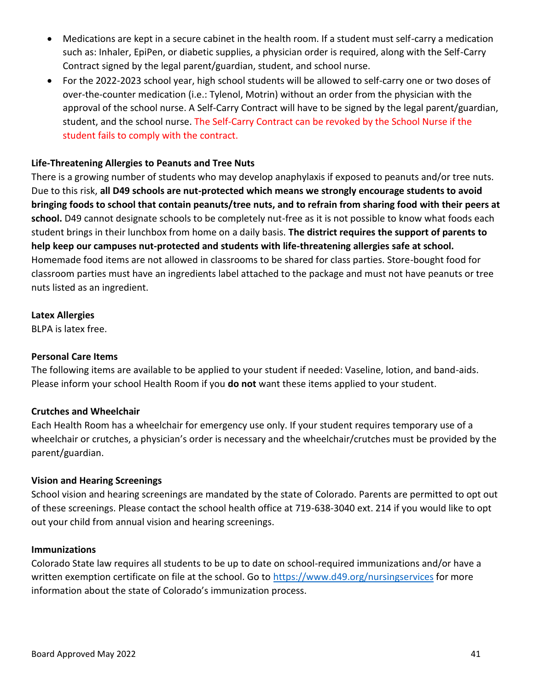- Medications are kept in a secure cabinet in the health room. If a student must self-carry a medication such as: Inhaler, EpiPen, or diabetic supplies, a physician order is required, along with the Self-Carry Contract signed by the legal parent/guardian, student, and school nurse.
- For the 2022-2023 school year, high school students will be allowed to self-carry one or two doses of over-the-counter medication (i.e.: Tylenol, Motrin) without an order from the physician with the approval of the school nurse. A Self-Carry Contract will have to be signed by the legal parent/guardian, student, and the school nurse. The Self-Carry Contract can be revoked by the School Nurse if the student fails to comply with the contract.

## **Life-Threatening Allergies to Peanuts and Tree Nuts**

There is a growing number of students who may develop anaphylaxis if exposed to peanuts and/or tree nuts. Due to this risk, **all D49 schools are nut-protected which means we strongly encourage students to avoid bringing foods to school that contain peanuts/tree nuts, and to refrain from sharing food with their peers at school.** D49 cannot designate schools to be completely nut-free as it is not possible to know what foods each student brings in their lunchbox from home on a daily basis. **The district requires the support of parents to help keep our campuses nut-protected and students with life-threatening allergies safe at school.** Homemade food items are not allowed in classrooms to be shared for class parties. Store-bought food for classroom parties must have an ingredients label attached to the package and must not have peanuts or tree nuts listed as an ingredient.

#### **Latex Allergies**

BLPA is latex free.

#### **Personal Care Items**

The following items are available to be applied to your student if needed: Vaseline, lotion, and band-aids. Please inform your school Health Room if you **do not** want these items applied to your student.

#### **Crutches and Wheelchair**

Each Health Room has a wheelchair for emergency use only. If your student requires temporary use of a wheelchair or crutches, a physician's order is necessary and the wheelchair/crutches must be provided by the parent/guardian.

#### **Vision and Hearing Screenings**

School vision and hearing screenings are mandated by the state of Colorado. Parents are permitted to opt out of these screenings. Please contact the school health office at 719-638-3040 ext. 214 if you would like to opt out your child from annual vision and hearing screenings.

#### **Immunizations**

Colorado State law requires all students to be up to date on school-required immunizations and/or have a written exemption certificate on file at the school. Go to<https://www.d49.org/nursingservices> for more information about the state of Colorado's immunization process.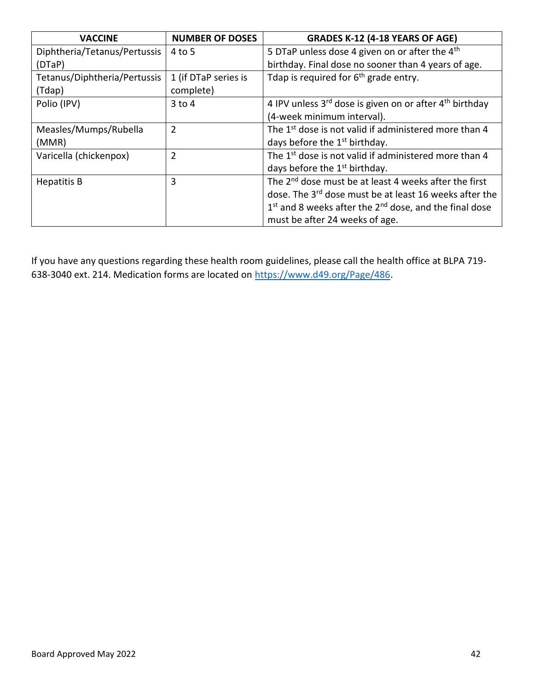| <b>VACCINE</b>               | <b>NUMBER OF DOSES</b> | <b>GRADES K-12 (4-18 YEARS OF AGE)</b>                              |
|------------------------------|------------------------|---------------------------------------------------------------------|
| Diphtheria/Tetanus/Pertussis | $4$ to 5               | 5 DTaP unless dose 4 given on or after the 4 <sup>th</sup>          |
| (DTaP)                       |                        | birthday. Final dose no sooner than 4 years of age.                 |
| Tetanus/Diphtheria/Pertussis | 1 (if DTaP series is   | Tdap is required for $6th$ grade entry.                             |
| (Tdap)                       | complete)              |                                                                     |
| Polio (IPV)                  | $3$ to $4$             | 4 IPV unless 3rd dose is given on or after 4 <sup>th</sup> birthday |
|                              |                        | (4-week minimum interval).                                          |
| Measles/Mumps/Rubella        | $\overline{2}$         | The 1 <sup>st</sup> dose is not valid if administered more than 4   |
| (MMR)                        |                        | days before the 1 <sup>st</sup> birthday.                           |
| Varicella (chickenpox)       | $\overline{2}$         | The 1 <sup>st</sup> dose is not valid if administered more than 4   |
|                              |                        | days before the 1 <sup>st</sup> birthday.                           |
| Hepatitis B                  | 3                      | The 2 <sup>nd</sup> dose must be at least 4 weeks after the first   |
|                              |                        | dose. The 3 <sup>rd</sup> dose must be at least 16 weeks after the  |
|                              |                        | $1st$ and 8 weeks after the $2nd$ dose, and the final dose          |
|                              |                        | must be after 24 weeks of age.                                      |

If you have any questions regarding these health room guidelines, please call the health office at BLPA 719 638-3040 ext. 214. Medication forms are located on [https://www.d49.org/Page/486.](https://www.d49.org/Page/486)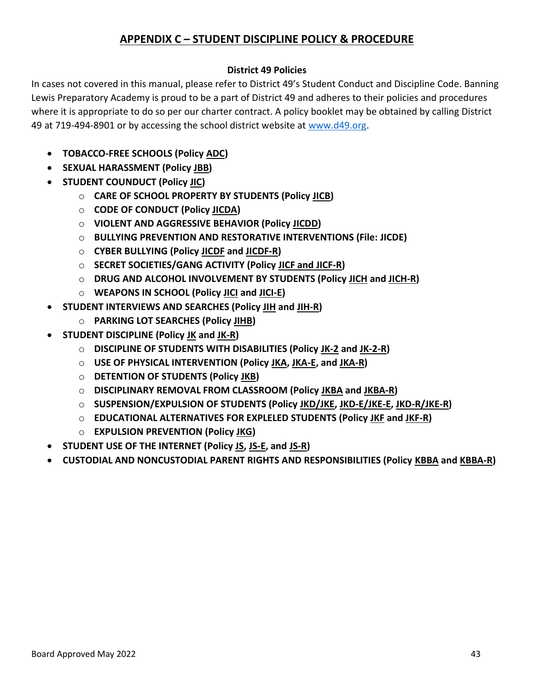# **APPENDIX C – STUDENT DISCIPLINE POLICY & PROCEDURE**

# **District 49 Policies**

<span id="page-42-0"></span>In cases not covered in this manual, please refer to District 49's Student Conduct and Discipline Code. Banning Lewis Preparatory Academy is proud to be a part of District 49 and adheres to their policies and procedures where it is appropriate to do so per our charter contract. A policy booklet may be obtained by calling District 49 at 719-494-8901 or by accessing the school district website at [www.d49.org.](http://www.d49.org/)

- **TOBACCO-FREE SCHOOLS (Policy ADC)**
- **SEXUAL HARASSMENT (Policy JBB)**
- **STUDENT COUNDUCT (Policy JIC)**
	- o **CARE OF SCHOOL PROPERTY BY STUDENTS (Policy JICB)**
	- o **CODE OF CONDUCT (Policy JICDA)**
	- o **VIOLENT AND AGGRESSIVE BEHAVIOR (Policy JICDD)**
	- o **BULLYING PREVENTION AND RESTORATIVE INTERVENTIONS (File: JICDE)**
	- o **CYBER BULLYING (Policy JICDF and JICDF-R)**
	- o **SECRET SOCIETIES/GANG ACTIVITY (Policy JICF and JICF-R)**
	- o **DRUG AND ALCOHOL INVOLVEMENT BY STUDENTS (Policy JICH and JICH-R)**
	- o **WEAPONS IN SCHOOL (Policy JICI and JICI-E)**
- **STUDENT INTERVIEWS AND SEARCHES (Policy JIH and JIH-R)**
	- o **PARKING LOT SEARCHES (Policy JIHB)**
- **STUDENT DISCIPLINE (Policy JK and JK-R)**
	- o **DISCIPLINE OF STUDENTS WITH DISABILITIES (Policy JK-2 and JK-2-R)**
	- o **USE OF PHYSICAL INTERVENTION (Policy JKA, JKA-E, and JKA-R)**
	- o **DETENTION OF STUDENTS (Policy JKB)**
	- o **DISCIPLINARY REMOVAL FROM CLASSROOM (Policy JKBA and JKBA-R)**
	- o **SUSPENSION/EXPULSION OF STUDENTS (Policy JKD/JKE, JKD-E/JKE-E, JKD-R/JKE-R)**
	- o **EDUCATIONAL ALTERNATIVES FOR EXPLELED STUDENTS (Policy JKF and JKF-R)**
	- o **EXPULSION PREVENTION (Policy JKG)**
- **STUDENT USE OF THE INTERNET (Policy JS, JS-E, and JS-R)**
- **CUSTODIAL AND NONCUSTODIAL PARENT RIGHTS AND RESPONSIBILITIES (Policy KBBA and KBBA-R)**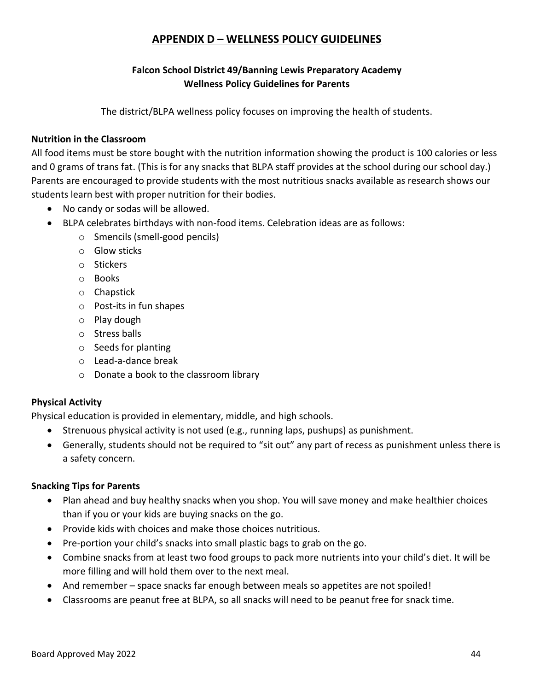# **APPENDIX D – WELLNESS POLICY GUIDELINES**

# **Falcon School District 49/Banning Lewis Preparatory Academy Wellness Policy Guidelines for Parents**

The district/BLPA wellness policy focuses on improving the health of students.

#### <span id="page-43-0"></span>**Nutrition in the Classroom**

All food items must be store bought with the nutrition information showing the product is 100 calories or less and 0 grams of trans fat. (This is for any snacks that BLPA staff provides at the school during our school day.) Parents are encouraged to provide students with the most nutritious snacks available as research shows our students learn best with proper nutrition for their bodies.

- No candy or sodas will be allowed.
- BLPA celebrates birthdays with non-food items. Celebration ideas are as follows:
	- o Smencils (smell-good pencils)
	- o Glow sticks
	- o Stickers
	- o Books
	- o Chapstick
	- o Post-its in fun shapes
	- o Play dough
	- o Stress balls
	- o Seeds for planting
	- o Lead-a-dance break
	- o Donate a book to the classroom library

#### **Physical Activity**

Physical education is provided in elementary, middle, and high schools.

- Strenuous physical activity is not used (e.g., running laps, pushups) as punishment.
- Generally, students should not be required to "sit out" any part of recess as punishment unless there is a safety concern.

#### **Snacking Tips for Parents**

- Plan ahead and buy healthy snacks when you shop. You will save money and make healthier choices than if you or your kids are buying snacks on the go.
- Provide kids with choices and make those choices nutritious.
- Pre-portion your child's snacks into small plastic bags to grab on the go.
- Combine snacks from at least two food groups to pack more nutrients into your child's diet. It will be more filling and will hold them over to the next meal.
- And remember space snacks far enough between meals so appetites are not spoiled!
- Classrooms are peanut free at BLPA, so all snacks will need to be peanut free for snack time.